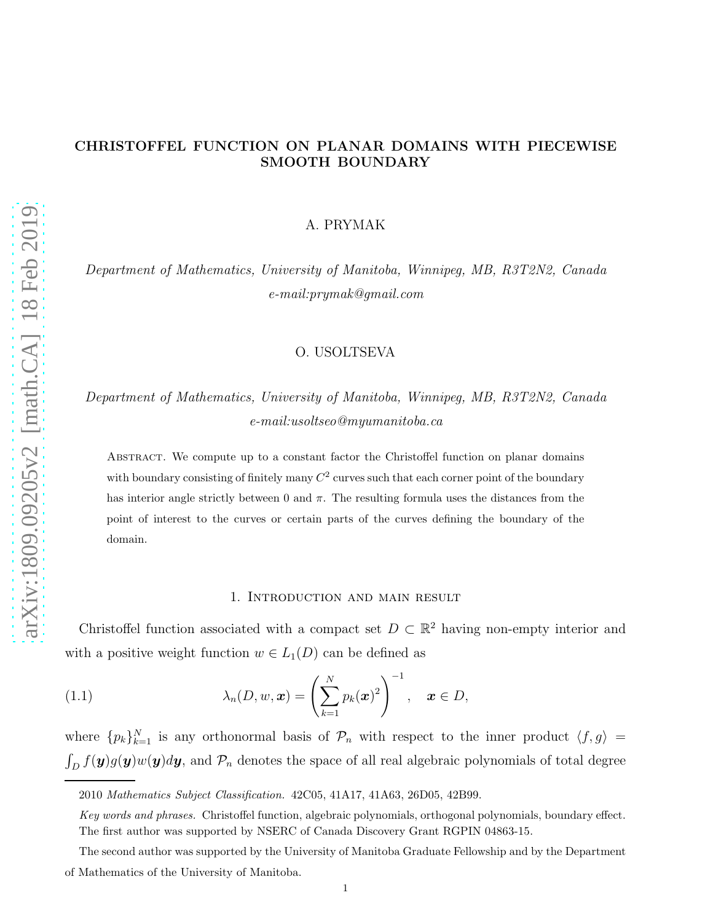A. PRYMAK

Department of Mathematics, University of Manitoba, Winnipeg, MB, R3T2N2, Canada e-mail:prymak@gmail.com

# O. USOLTSEVA

# Department of Mathematics, University of Manitoba, Winnipeg, MB, R3T2N2, Canada e-mail:usoltseo@myumanitoba.ca

Abstract. We compute up to a constant factor the Christoffel function on planar domains with boundary consisting of finitely many  $C^2$  curves such that each corner point of the boundary has interior angle strictly between 0 and  $\pi$ . The resulting formula uses the distances from the point of interest to the curves or certain parts of the curves defining the boundary of the domain.

# <span id="page-0-0"></span>1. Introduction and main result

Christoffel function associated with a compact set  $D \subset \mathbb{R}^2$  having non-empty interior and with a positive weight function  $w \in L_1(D)$  can be defined as

(1.1) 
$$
\lambda_n(D, w, \boldsymbol{x}) = \left(\sum_{k=1}^N p_k(\boldsymbol{x})^2\right)^{-1}, \quad \boldsymbol{x} \in D,
$$

where  $\{p_k\}_{k=1}^N$  is any orthonormal basis of  $\mathcal{P}_n$  with respect to the inner product  $\langle f, g \rangle =$  $\int_D f(\mathbf{y})g(\mathbf{y})w(\mathbf{y})d\mathbf{y}$ , and  $\mathcal{P}_n$  denotes the space of all real algebraic polynomials of total degree

<sup>2010</sup> Mathematics Subject Classification. 42C05, 41A17, 41A63, 26D05, 42B99.

Key words and phrases. Christoffel function, algebraic polynomials, orthogonal polynomials, boundary effect. The first author was supported by NSERC of Canada Discovery Grant RGPIN 04863-15.

The second author was supported by the University of Manitoba Graduate Fellowship and by the Department of Mathematics of the University of Manitoba.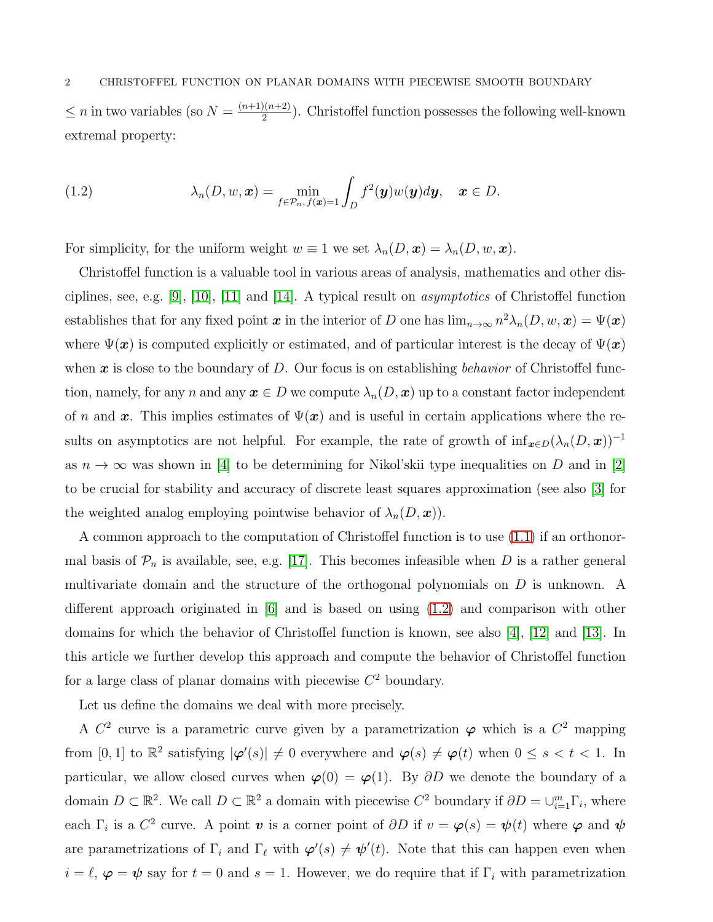$\leq n$  in two variables (so  $N = \frac{(n+1)(n+2)}{2}$  $\frac{2(n+2)}{2}$ . Christoffel function possesses the following well-known extremal property:

<span id="page-1-0"></span>(1.2) 
$$
\lambda_n(D, w, \mathbf{x}) = \min_{f \in \mathcal{P}_n, f(\mathbf{x}) = 1} \int_D f^2(\mathbf{y}) w(\mathbf{y}) d\mathbf{y}, \quad \mathbf{x} \in D.
$$

For simplicity, for the uniform weight  $w \equiv 1$  we set  $\lambda_n(D, x) = \lambda_n(D, w, x)$ .

Christoffel function is a valuable tool in various areas of analysis, mathematics and other dis-ciplines, see, e.g. [\[9\]](#page-18-0), [\[10\]](#page-18-1), [\[11\]](#page-18-2) and [\[14\]](#page-18-3). A typical result on *asymptotics* of Christoffel function establishes that for any fixed point  $x$  in the interior of D one has  $\lim_{n\to\infty} n^2\lambda_n(D, w, x) = \Psi(x)$ where  $\Psi(x)$  is computed explicitly or estimated, and of particular interest is the decay of  $\Psi(x)$ when  $\boldsymbol{x}$  is close to the boundary of D. Our focus is on establishing behavior of Christoffel function, namely, for any n and any  $x \in D$  we compute  $\lambda_n(D, x)$  up to a constant factor independent of n and x. This implies estimates of  $\Psi(x)$  and is useful in certain applications where the results on asymptotics are not helpful. For example, the rate of growth of  $\inf_{\bm{x}\in D}(\lambda_n(D,\bm{x}))^{-1}$ as  $n \to \infty$  was shown in [\[4\]](#page-18-4) to be determining for Nikol'skii type inequalities on D and in [\[2\]](#page-18-5) to be crucial for stability and accuracy of discrete least squares approximation (see also [\[3\]](#page-18-6) for the weighted analog employing pointwise behavior of  $\lambda_n(D, x)$ .

A common approach to the computation of Christoffel function is to use [\(1.1\)](#page-0-0) if an orthonormal basis of  $\mathcal{P}_n$  is available, see, e.g. [\[17\]](#page-18-7). This becomes infeasible when D is a rather general multivariate domain and the structure of the orthogonal polynomials on D is unknown. A different approach originated in [\[6\]](#page-18-8) and is based on using [\(1.2\)](#page-1-0) and comparison with other domains for which the behavior of Christoffel function is known, see also [\[4\]](#page-18-4), [\[12\]](#page-18-9) and [\[13\]](#page-18-10). In this article we further develop this approach and compute the behavior of Christoffel function for a large class of planar domains with piecewise  $C<sup>2</sup>$  boundary.

Let us define the domains we deal with more precisely.

A  $C^2$  curve is a parametric curve given by a parametrization  $\varphi$  which is a  $C^2$  mapping from [0, 1] to  $\mathbb{R}^2$  satisfying  $|\varphi'(s)| \neq 0$  everywhere and  $\varphi(s) \neq \varphi(t)$  when  $0 \leq s < t < 1$ . In particular, we allow closed curves when  $\varphi(0) = \varphi(1)$ . By  $\partial D$  we denote the boundary of a domain  $D \subset \mathbb{R}^2$ . We call  $D \subset \mathbb{R}^2$  a domain with piecewise  $C^2$  boundary if  $\partial D = \cup_{i=1}^m \Gamma_i$ , where each  $\Gamma_i$  is a  $C^2$  curve. A point  $\boldsymbol{v}$  is a corner point of  $\partial D$  if  $v = \boldsymbol{\varphi}(s) = \boldsymbol{\psi}(t)$  where  $\boldsymbol{\varphi}$  and  $\boldsymbol{\psi}$ are parametrizations of  $\Gamma_i$  and  $\Gamma_\ell$  with  $\varphi'(s) \neq \psi'(t)$ . Note that this can happen even when  $i = \ell, \varphi = \psi$  say for  $t = 0$  and  $s = 1$ . However, we do require that if  $\Gamma_i$  with parametrization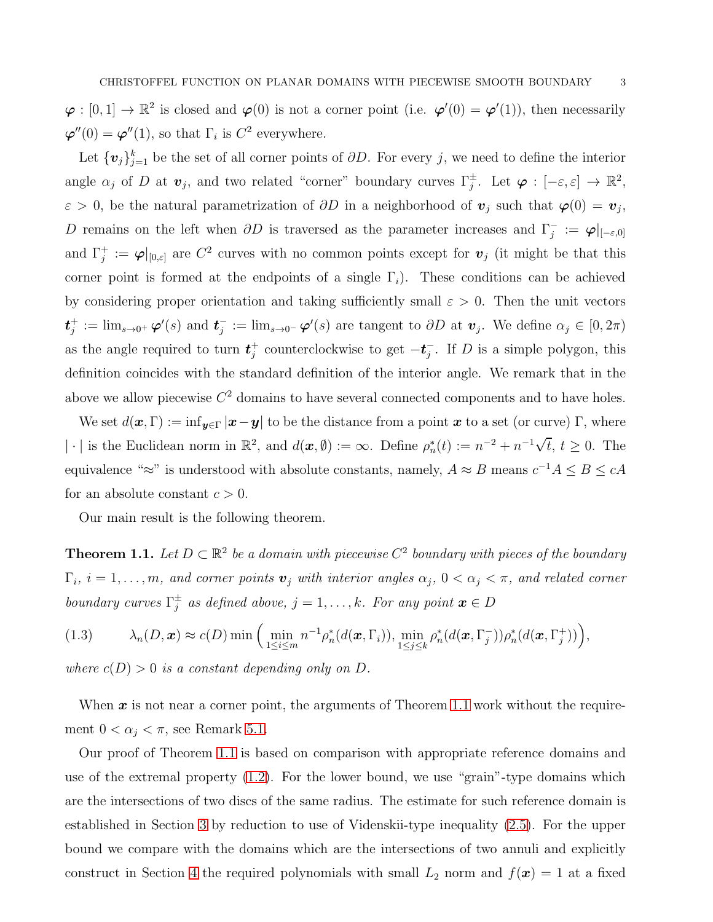$\varphi : [0,1] \to \mathbb{R}^2$  is closed and  $\varphi(0)$  is not a corner point (i.e.  $\varphi'(0) = \varphi'(1)$ ), then necessarily  $\boldsymbol{\varphi}''(0) = \boldsymbol{\varphi}''(1)$ , so that  $\Gamma_i$  is  $C^2$  everywhere.

Let  $\{v_j\}_{j=1}^k$  be the set of all corner points of  $\partial D$ . For every j, we need to define the interior angle  $\alpha_j$  of D at  $\mathbf{v}_j$ , and two related "corner" boundary curves  $\Gamma_j^{\pm}$ . Let  $\boldsymbol{\varphi}: [-\varepsilon, \varepsilon] \to \mathbb{R}^2$ ,  $\varepsilon > 0$ , be the natural parametrization of  $\partial D$  in a neighborhood of  $v_j$  such that  $\varphi(0) = v_j$ , D remains on the left when  $\partial D$  is traversed as the parameter increases and  $\Gamma_j^- := \varphi|_{[-\varepsilon,0]}$ and  $\Gamma_j^+ := \varphi|_{[0,\varepsilon]}$  are  $C^2$  curves with no common points except for  $v_j$  (it might be that this corner point is formed at the endpoints of a single  $\Gamma_i$ ). These conditions can be achieved by considering proper orientation and taking sufficiently small  $\varepsilon > 0$ . Then the unit vectors  $\boldsymbol{t}^+_i$  $j^+ := \lim_{s\to 0^+} \varphi'(s)$  and  $t_j^- := \lim_{s\to 0^-} \varphi'(s)$  are tangent to  $\partial D$  at  $v_j$ . We define  $\alpha_j \in [0, 2\pi)$ as the angle required to turn  $t_i^+$ <sup>+</sup> counterclockwise to get  $-t_j^-$ . If D is a simple polygon, this definition coincides with the standard definition of the interior angle. We remark that in the above we allow piecewise  $C^2$  domains to have several connected components and to have holes.

We set  $d(\boldsymbol{x}, \Gamma) := \inf_{\boldsymbol{y} \in \Gamma} |\boldsymbol{x} - \boldsymbol{y}|$  to be the distance from a point  $\boldsymbol{x}$  to a set (or curve)  $\Gamma$ , where |  $\cdot$  | is the Euclidean norm in  $\mathbb{R}^2$ , and  $d(\boldsymbol{x}, \emptyset) := \infty$ . Define  $\rho_n^*(t) := n^{-2} + n^{-1}\sqrt{t}$ ,  $t \ge 0$ . The equivalence " $\approx$ " is understood with absolute constants, namely,  $A \approx B$  means  $c^{-1}A \leq B \leq cA$ for an absolute constant  $c > 0$ .

Our main result is the following theorem.

<span id="page-2-0"></span>**Theorem 1.1.** Let  $D \subset \mathbb{R}^2$  be a domain with piecewise  $C^2$  boundary with pieces of the boundary  $\Gamma_i$ ,  $i=1,\ldots,m$ , and corner points  $\mathbf{v}_j$  with interior angles  $\alpha_j$ ,  $0<\alpha_j<\pi$ , and related corner boundary curves  $\Gamma_j^{\pm}$  as defined above,  $j = 1, ..., k$ . For any point  $\mathbf{x} \in D$ 

<span id="page-2-1"></span>
$$
(1.3) \qquad \lambda_n(D,\boldsymbol{x}) \approx c(D) \min \Big( \min_{1 \leq i \leq m} n^{-1} \rho_n^*(d(\boldsymbol{x},\Gamma_i)), \min_{1 \leq j \leq k} \rho_n^*(d(\boldsymbol{x},\Gamma_j^-)) \rho_n^*(d(\boldsymbol{x},\Gamma_j^+)) \Big),
$$

where  $c(D) > 0$  is a constant depending only on D.

When  $x$  is not near a corner point, the arguments of Theorem [1.1](#page-2-0) work without the requirement  $0 < \alpha_i < \pi$ , see Remark [5.1.](#page-17-0)

Our proof of Theorem [1.1](#page-2-0) is based on comparison with appropriate reference domains and use of the extremal property [\(1.2\)](#page-1-0). For the lower bound, we use "grain"-type domains which are the intersections of two discs of the same radius. The estimate for such reference domain is established in Section [3](#page-5-0) by reduction to use of Videnskii-type inequality [\(2.5\)](#page-5-1). For the upper bound we compare with the domains which are the intersections of two annuli and explicitly construct in Section [4](#page-9-0) the required polynomials with small  $L_2$  norm and  $f(x) = 1$  at a fixed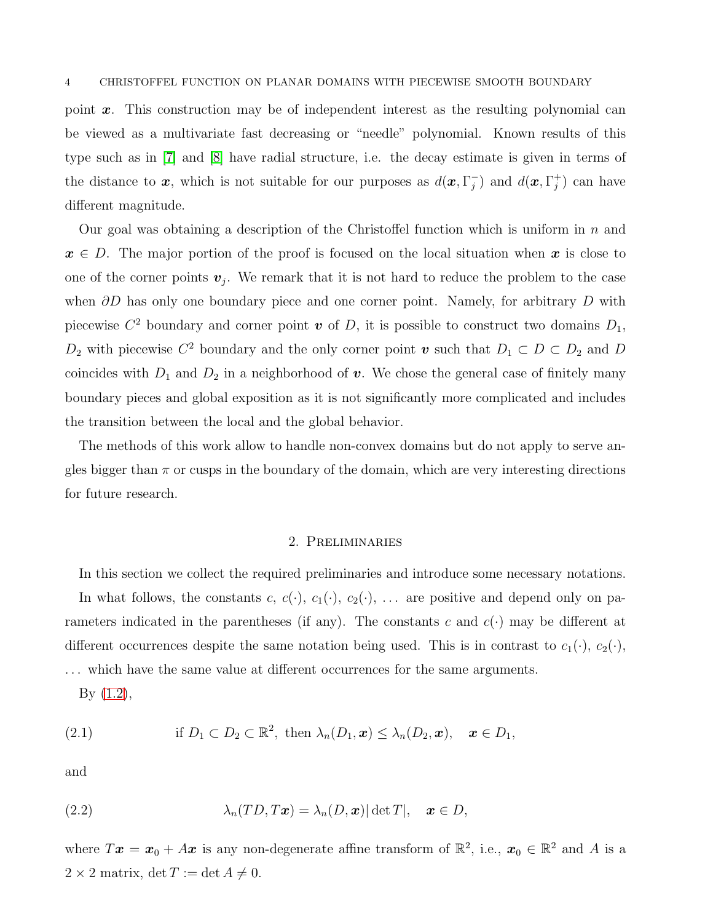point  $x$ . This construction may be of independent interest as the resulting polynomial can be viewed as a multivariate fast decreasing or "needle" polynomial. Known results of this type such as in [\[7\]](#page-18-11) and [\[8\]](#page-18-12) have radial structure, i.e. the decay estimate is given in terms of the distance to x, which is not suitable for our purposes as  $d(x, \Gamma_j^-)$  and  $d(x, \Gamma_j^+)$  can have different magnitude.

Our goal was obtaining a description of the Christoffel function which is uniform in  $n$  and  $x \in D$ . The major portion of the proof is focused on the local situation when x is close to one of the corner points  $v_j$ . We remark that it is not hard to reduce the problem to the case when  $\partial D$  has only one boundary piece and one corner point. Namely, for arbitrary D with piecewise  $C^2$  boundary and corner point  $\boldsymbol{v}$  of D, it is possible to construct two domains  $D_1$ ,  $D_2$  with piecewise  $C^2$  boundary and the only corner point  $\boldsymbol{v}$  such that  $D_1 \subset D \subset D_2$  and  $D$ coincides with  $D_1$  and  $D_2$  in a neighborhood of v. We chose the general case of finitely many boundary pieces and global exposition as it is not significantly more complicated and includes the transition between the local and the global behavior.

The methods of this work allow to handle non-convex domains but do not apply to serve angles bigger than  $\pi$  or cusps in the boundary of the domain, which are very interesting directions for future research.

# 2. Preliminaries

In this section we collect the required preliminaries and introduce some necessary notations. In what follows, the constants c,  $c(\cdot)$ ,  $c_1(\cdot)$ ,  $c_2(\cdot)$ , ... are positive and depend only on parameters indicated in the parentheses (if any). The constants c and  $c(\cdot)$  may be different at different occurrences despite the same notation being used. This is in contrast to  $c_1(\cdot)$ ,  $c_2(\cdot)$ , . . . which have the same value at different occurrences for the same arguments.

<span id="page-3-0"></span>By [\(1.2\)](#page-1-0),

(2.1) if 
$$
D_1 \subset D_2 \subset \mathbb{R}^2
$$
, then  $\lambda_n(D_1, \mathbf{x}) \leq \lambda_n(D_2, \mathbf{x})$ ,  $\mathbf{x} \in D_1$ ,

and

<span id="page-3-1"></span>(2.2) 
$$
\lambda_n(TD,T\boldsymbol{x})=\lambda_n(D,\boldsymbol{x})|\det T|, \quad \boldsymbol{x}\in D,
$$

where  $T x = x_0 + Ax$  is any non-degenerate affine transform of  $\mathbb{R}^2$ , i.e.,  $x_0 \in \mathbb{R}^2$  and A is a  $2 \times 2$  matrix, det  $T := \det A \neq 0$ .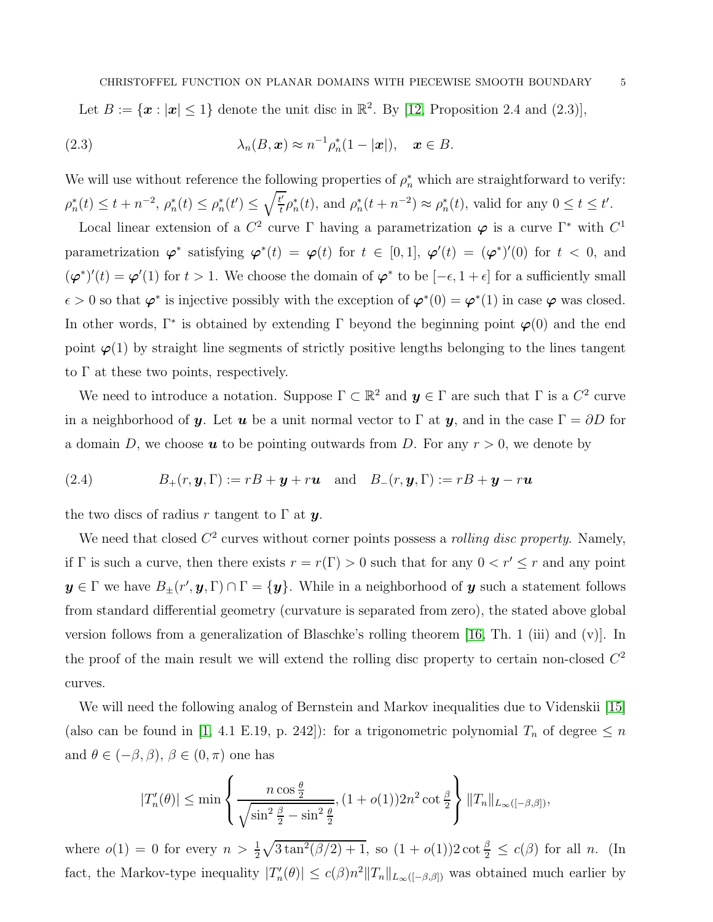<span id="page-4-0"></span>Let  $B := \{ \boldsymbol{x} : |\boldsymbol{x}| \leq 1 \}$  denote the unit disc in  $\mathbb{R}^2$ . By [\[12,](#page-18-9) Proposition 2.4 and (2.3)],

(2.3) 
$$
\lambda_n(B, \mathbf{x}) \approx n^{-1} \rho_n^*(1-|\mathbf{x}|), \quad \mathbf{x} \in B.
$$

We will use without reference the following properties of  $\rho_n^*$  which are straightforward to verify:  $\rho_n^*(t) \leq t + n^{-2}, \, \rho_n^*(t) \leq \rho_n^*(t') \leq \sqrt{\frac{t'}{t}}$  $t'_t \rho_n^*(t)$ , and  $\rho_n^*(t + n^{-2}) \approx \rho_n^*(t)$ , valid for any  $0 \le t \le t'$ .

Local linear extension of a  $C^2$  curve  $\Gamma$  having a parametrization  $\varphi$  is a curve  $\Gamma^*$  with  $C^1$ parametrization  $\varphi^*$  satisfying  $\varphi^*(t) = \varphi(t)$  for  $t \in [0,1]$ ,  $\varphi'(t) = (\varphi^*)'(0)$  for  $t < 0$ , and  $(\varphi^*)'(t) = \varphi'(1)$  for  $t > 1$ . We choose the domain of  $\varphi^*$  to be  $[-\epsilon, 1 + \epsilon]$  for a sufficiently small  $\epsilon > 0$  so that  $\varphi^*$  is injective possibly with the exception of  $\varphi^*(0) = \varphi^*(1)$  in case  $\varphi$  was closed. In other words,  $\Gamma^*$  is obtained by extending  $\Gamma$  beyond the beginning point  $\varphi(0)$  and the end point  $\varphi(1)$  by straight line segments of strictly positive lengths belonging to the lines tangent to  $\Gamma$  at these two points, respectively.

We need to introduce a notation. Suppose  $\Gamma \subset \mathbb{R}^2$  and  $y \in \Gamma$  are such that  $\Gamma$  is a  $C^2$  curve in a neighborhood of y. Let u be a unit normal vector to  $\Gamma$  at y, and in the case  $\Gamma = \partial D$  for a domain D, we choose  $u$  to be pointing outwards from D. For any  $r > 0$ , we denote by

(2.4) 
$$
B_{+}(r, \mathbf{y}, \Gamma) := rB + \mathbf{y} + r\mathbf{u} \text{ and } B_{-}(r, \mathbf{y}, \Gamma) := rB + \mathbf{y} - r\mathbf{u}
$$

the two discs of radius r tangent to  $\Gamma$  at y.

We need that closed  $C^2$  curves without corner points possess a *rolling disc property*. Namely, if  $\Gamma$  is such a curve, then there exists  $r = r(\Gamma) > 0$  such that for any  $0 < r' \le r$  and any point  $y \in \Gamma$  we have  $B_{\pm}(r', y, \Gamma) \cap \Gamma = \{y\}$ . While in a neighborhood of  $y$  such a statement follows from standard differential geometry (curvature is separated from zero), the stated above global version follows from a generalization of Blaschke's rolling theorem [\[16,](#page-18-13) Th. 1 (iii) and (v)]. In the proof of the main result we will extend the rolling disc property to certain non-closed  $C<sup>2</sup>$ curves.

We will need the following analog of Bernstein and Markov inequalities due to Videnskii [\[15\]](#page-18-14) (also can be found in [\[1,](#page-18-15) 4.1 E.19, p. 242]): for a trigonometric polynomial  $T_n$  of degree  $\leq n$ and  $\theta \in (-\beta, \beta), \beta \in (0, \pi)$  one has

$$
|T_n'(\theta)| \le \min\left\{\frac{n\cos\frac{\theta}{2}}{\sqrt{\sin^2\frac{\theta}{2}-\sin^2\frac{\theta}{2}}}, (1+o(1))2n^2\cot\frac{\theta}{2}\right\} ||T_n||_{L_\infty([-\beta,\beta])},
$$

where  $o(1) = 0$  for every  $n > \frac{1}{2}\sqrt{3\tan^2(\beta/2) + 1}$ , so  $(1 + o(1))2 \cot \frac{\beta}{2} \le c(\beta)$  for all n. (In fact, the Markov-type inequality  $|T_n'(\theta)| \le c(\beta) n^2 \|T_n\|_{L_\infty([-\beta,\beta])}$  was obtained much earlier by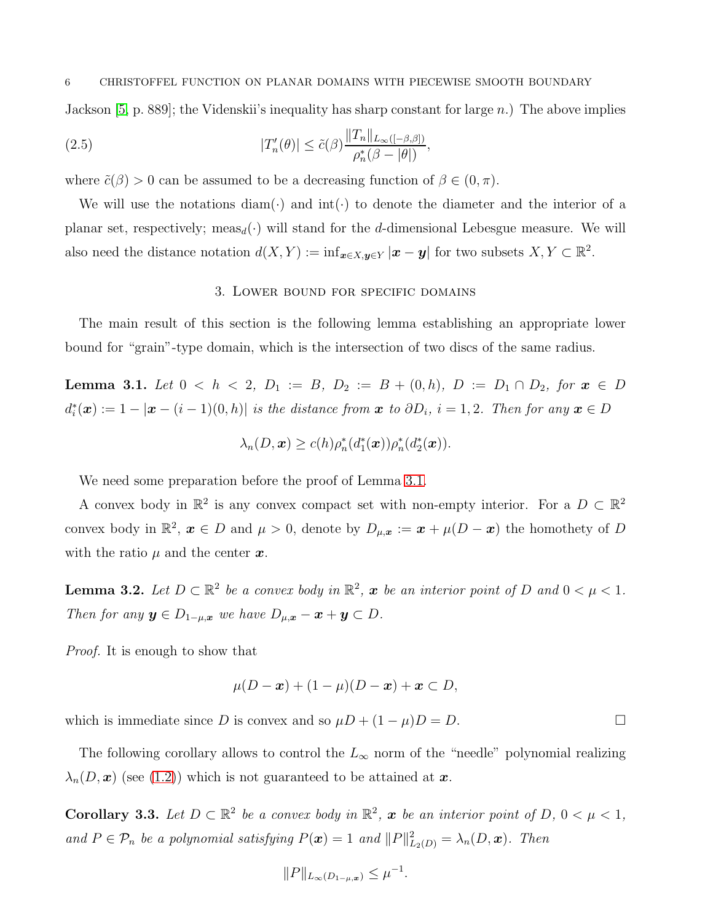Jackson [\[5,](#page-18-16) p. 889]; the Videnskii's inequality has sharp constant for large  $n$ .) The above implies

(2.5) 
$$
|T'_n(\theta)| \leq \tilde{c}(\beta) \frac{\|T_n\|_{L_\infty([-\beta,\beta])}}{\rho_n^*(\beta - |\theta|)},
$$

where  $\tilde{c}(\beta) > 0$  can be assumed to be a decreasing function of  $\beta \in (0, \pi)$ .

<span id="page-5-0"></span>We will use the notations diam( $\cdot$ ) and int( $\cdot$ ) to denote the diameter and the interior of a planar set, respectively; meas<sub>d</sub>(·) will stand for the d-dimensional Lebesgue measure. We will also need the distance notation  $d(X,Y) := \inf_{\mathbf{x} \in X, \mathbf{y} \in Y} |\mathbf{x} - \mathbf{y}|$  for two subsets  $X, Y \subset \mathbb{R}^2$ .

#### <span id="page-5-1"></span>3. Lower bound for specific domains

The main result of this section is the following lemma establishing an appropriate lower bound for "grain"-type domain, which is the intersection of two discs of the same radius.

<span id="page-5-2"></span>Lemma 3.1. Let  $0 < h < 2$ ,  $D_1 := B$ ,  $D_2 := B + (0, h)$ ,  $D := D_1 \cap D_2$ , for  $x \in D$  $d_i^*(\boldsymbol{x}) := 1 - |\boldsymbol{x} - (i-1)(0,h)|$  is the distance from  $\boldsymbol{x}$  to  $\partial D_i$ ,  $i = 1,2$ . Then for any  $\boldsymbol{x} \in D$ 

$$
\lambda_n(D,\boldsymbol{x}) \ge c(h)\rho_n^*(d_1^*(\boldsymbol{x}))\rho_n^*(d_2^*(\boldsymbol{x})).
$$

We need some preparation before the proof of Lemma [3.1.](#page-5-2)

A convex body in  $\mathbb{R}^2$  is any convex compact set with non-empty interior. For a  $D \subset \mathbb{R}^2$ convex body in  $\mathbb{R}^2$ ,  $x \in D$  and  $\mu > 0$ , denote by  $D_{\mu,x} := x + \mu(D - x)$  the homothety of D with the ratio  $\mu$  and the center  $\boldsymbol{x}$ .

<span id="page-5-3"></span>**Lemma 3.2.** Let  $D \subset \mathbb{R}^2$  be a convex body in  $\mathbb{R}^2$ , x be an interior point of D and  $0 < \mu < 1$ . Then for any  $y \in D_{1-\mu,x}$  we have  $D_{\mu,x} - x + y \subset D$ .

Proof. It is enough to show that

$$
\mu(D-\boldsymbol{x})+(1-\mu)(D-\boldsymbol{x})+\boldsymbol{x}\subset D,
$$

which is immediate since D is convex and so  $\mu D + (1 - \mu)D = D$ .

The following corollary allows to control the  $L_{\infty}$  norm of the "needle" polynomial realizing  $\lambda_n(D, x)$  (see [\(1.2\)](#page-1-0)) which is not guaranteed to be attained at x.

<span id="page-5-4"></span>**Corollary 3.3.** Let  $D \subset \mathbb{R}^2$  be a convex body in  $\mathbb{R}^2$ , x be an interior point of  $D$ ,  $0 < \mu < 1$ , and  $P \in \mathcal{P}_n$  be a polynomial satisfying  $P(\boldsymbol{x}) = 1$  and  $||P||_{L_2(D)}^2 = \lambda_n(D, \boldsymbol{x})$ . Then

$$
||P||_{L_{\infty}(D_{1-\mu,x})} \leq \mu^{-1}.
$$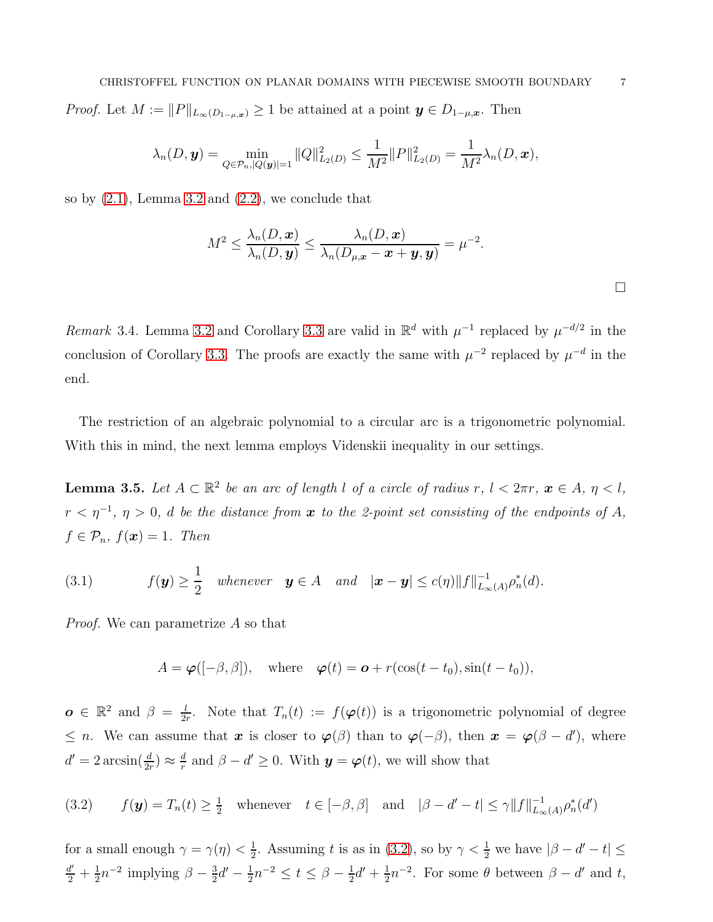$$
\lambda_n(D, \mathbf{y}) = \min_{Q \in \mathcal{P}_n, |Q(\mathbf{y})|=1} ||Q||^2_{L_2(D)} \leq \frac{1}{M^2} ||P||^2_{L_2(D)} = \frac{1}{M^2} \lambda_n(D, \mathbf{x}),
$$

so by  $(2.1)$ , Lemma [3.2](#page-5-3) and  $(2.2)$ , we conclude that

$$
M^2 \leq \frac{\lambda_n(D, \boldsymbol{x})}{\lambda_n(D, \boldsymbol{y})} \leq \frac{\lambda_n(D, \boldsymbol{x})}{\lambda_n(D_{\mu, \boldsymbol{x}} - \boldsymbol{x} + \boldsymbol{y}, \boldsymbol{y})} = \mu^{-2}.
$$

Remark 3.4. Lemma [3.2](#page-5-3) and Corollary [3.3](#page-5-4) are valid in  $\mathbb{R}^d$  with  $\mu^{-1}$  replaced by  $\mu^{-d/2}$  in the conclusion of Corollary [3.3.](#page-5-4) The proofs are exactly the same with  $\mu^{-2}$  replaced by  $\mu^{-d}$  in the end.

The restriction of an algebraic polynomial to a circular arc is a trigonometric polynomial. With this in mind, the next lemma employs Videnskii inequality in our settings.

<span id="page-6-2"></span>**Lemma 3.5.** Let  $A \subset \mathbb{R}^2$  be an arc of length l of a circle of radius r,  $l < 2\pi r$ ,  $\boldsymbol{x} \in A$ ,  $\eta < l$ ,  $r<\eta^{-1},\ \eta>0, \ d \ \textit{be the distance from} \ \pmb{x} \ \textit{to the 2-point set consisting of the endpoints of $A$},$  $f \in \mathcal{P}_n$ ,  $f(\boldsymbol{x}) = 1$ . Then

<span id="page-6-1"></span>(3.1) 
$$
f(\mathbf{y}) \geq \frac{1}{2} \quad \text{whenever} \quad \mathbf{y} \in A \quad \text{and} \quad |\mathbf{x} - \mathbf{y}| \leq c(\eta) \|f\|_{L_{\infty}(A)}^{-1} \rho_n^*(d).
$$

Proof. We can parametrize A so that

$$
A = \boldsymbol{\varphi}([-\beta,\beta]), \quad \text{where} \quad \boldsymbol{\varphi}(t) = \boldsymbol{o} + r(\cos(t - t_0), \sin(t - t_0)),
$$

 $\boldsymbol{o} \in \mathbb{R}^2$  and  $\beta = \frac{l}{2i}$  $\frac{l}{2r}$ . Note that  $T_n(t) := f(\boldsymbol{\varphi}(t))$  is a trigonometric polynomial of degree  $\leq n$ . We can assume that  $x$  is closer to  $\varphi(\beta)$  than to  $\varphi(-\beta)$ , then  $x = \varphi(\beta - d')$ , where  $d' = 2 \arcsin(\frac{d}{2r}) \approx \frac{d}{r}$  $\frac{d}{r}$  and  $\beta - d' \geq 0$ . With  $y = \varphi(t)$ , we will show that

<span id="page-6-0"></span>(3.2) 
$$
f(\mathbf{y}) = T_n(t) \ge \frac{1}{2} \quad \text{whenever} \quad t \in [-\beta, \beta] \quad \text{and} \quad |\beta - d' - t| \le \gamma \|f\|_{L_\infty(A)}^{-1} \rho_n^*(d')
$$

for a small enough  $\gamma = \gamma(\eta) < \frac{1}{2}$  $\frac{1}{2}$ . Assuming t is as in [\(3.2\)](#page-6-0), so by  $\gamma < \frac{1}{2}$  we have  $|\beta - d' - t| \le$  $\frac{d'}{2} + \frac{1}{2}$  $\frac{1}{2}n^{-2}$  implying  $\beta - \frac{3}{2}$  $\frac{3}{2}d' - \frac{1}{2}$  $\frac{1}{2}n^{-2} \le t \le \beta - \frac{1}{2}$  $rac{1}{2}d' + \frac{1}{2}$  $\frac{1}{2}n^{-2}$ . For some  $\theta$  between  $\beta - d'$  and t,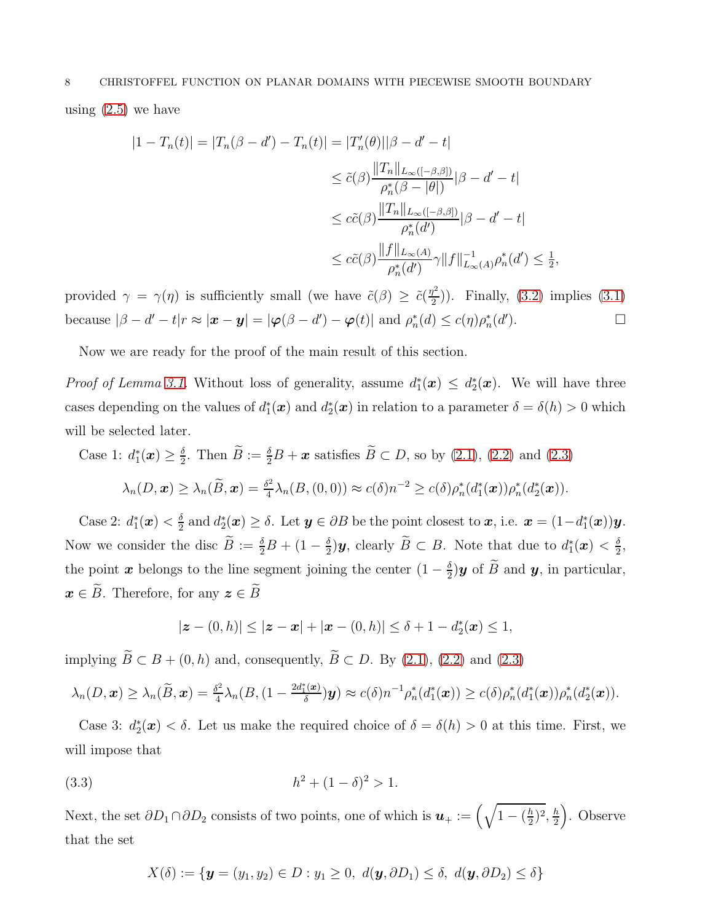$$
|1 - T_n(t)| = |T_n(\beta - d') - T_n(t)| = |T'_n(\theta)||\beta - d' - t|
$$
  
\n
$$
\leq \tilde{c}(\beta) \frac{||T_n||_{L_\infty([- \beta, \beta])}}{\rho_n^*(\beta - |\theta|)} |\beta - d' - t|
$$
  
\n
$$
\leq c\tilde{c}(\beta) \frac{||T_n||_{L_\infty([- \beta, \beta])}}{\rho_n^*(d')} |\beta - d' - t|
$$
  
\n
$$
\leq c\tilde{c}(\beta) \frac{||f||_{L_\infty(A)}}{\rho_n^*(d')} \gamma ||f||_{L_\infty(A)}^{-1} \rho_n^*(d') \leq \frac{1}{2},
$$

provided  $\gamma = \gamma(\eta)$  is sufficiently small (we have  $\tilde{c}(\beta) \geq \tilde{c}(\frac{\eta^2}{2})$  $\binom{2}{2}$ ). Finally, [\(3.2\)](#page-6-0) implies [\(3.1\)](#page-6-1) because  $|\beta - d' - t|$  $r \approx |\boldsymbol{x} - \boldsymbol{y}| = |\boldsymbol{\varphi}(\beta - d') - \boldsymbol{\varphi}(t)|$  and  $\rho_n^*(d) \leq c(\eta)\rho_n^*(d')$  $\Box$ 

Now we are ready for the proof of the main result of this section.

*Proof of Lemma 3.1*. Without loss of generality, assume  $d_1^*(\boldsymbol{x}) \leq d_2^*(\boldsymbol{x})$ . We will have three cases depending on the values of  $d_1^*(x)$  and  $d_2^*(x)$  in relation to a parameter  $\delta = \delta(h) > 0$  which will be selected later.

Case 1:  $d_1^*(\boldsymbol{x}) \geq \frac{\delta}{2}$  $\frac{\delta}{2}$ . Then  $B := \frac{\delta}{2}B + x$  satisfies  $B \subset D$ , so by [\(2.1\)](#page-3-0), [\(2.2\)](#page-3-1) and [\(2.3\)](#page-4-0)  $\lambda_n(D,\bm{x})\geq \lambda_n(\widetilde{B},\bm{x})=\frac{\delta^2}{4}$  $\frac{\delta^2}{4}\lambda_n(B,(0,0)) \approx c(\delta)n^{-2} \geq c(\delta)\rho_n^*(d_1^*(\boldsymbol{x}))\rho_n^*(d_2^*(\boldsymbol{x})).$ 

Case 2:  $d_1^*(\boldsymbol{x}) < \frac{\delta}{2}$  $\frac{\delta}{2}$  and  $d_2^*(x) \ge \delta$ . Let  $y \in \partial B$  be the point closest to  $x$ , i.e.  $x = (1 - d_1^*(x))y$ . Now we consider the disc  $\tilde{B} := \frac{\delta}{2}B + (1 - \frac{\delta}{2})$  $\frac{\delta}{2}$ )y, clearly  $\tilde{B} \subset B$ . Note that due to  $d_1^*(\boldsymbol{x}) < \frac{\delta}{2}$  $\frac{\delta}{2}$ the point x belongs to the line segment joining the center  $(1 - \frac{\delta}{2})$  $\frac{\partial}{\partial y}$  of B and **y**, in particular,  $\boldsymbol{x} \in \widetilde{B}$ . Therefore, for any  $\boldsymbol{z} \in \widetilde{B}$ 

$$
|z - (0,h)| \le |z - x| + |x - (0,h)| \le \delta + 1 - d_2^*(x) \le 1,
$$

implying  $\widetilde{B} \subset B + (0, h)$  and, consequently,  $\widetilde{B} \subset D$ . By [\(2.1\)](#page-3-0), [\(2.2\)](#page-3-1) and [\(2.3\)](#page-4-0)

$$
\lambda_n(D,\boldsymbol{x}) \geq \lambda_n(\widetilde{B},\boldsymbol{x}) = \frac{\delta^2}{4}\lambda_n(B,(1-\frac{2d_1^*(\boldsymbol{x})}{\delta})\boldsymbol{y}) \approx c(\delta)n^{-1}\rho_n^*(d_1^*(\boldsymbol{x})) \geq c(\delta)\rho_n^*(d_1^*(\boldsymbol{x}))\rho_n^*(d_2^*(\boldsymbol{x})).
$$

Case 3:  $d_2^*(x) < \delta$ . Let us make the required choice of  $\delta = \delta(h) > 0$  at this time. First, we will impose that

(3.3) 
$$
h^2 + (1 - \delta)^2 > 1.
$$

Next, the set  $\partial D_1 \cap \partial D_2$  consists of two points, one of which is  $u_+ := \left(\sqrt{1 - (\frac{h}{2})^2}\right)$  $(\frac{h}{2})^2, \frac{h}{2}$ 2 . Observe that the set

<span id="page-7-0"></span>
$$
X(\delta) := \{ \mathbf{y} = (y_1, y_2) \in D : y_1 \ge 0, \ d(\mathbf{y}, \partial D_1) \le \delta, \ d(\mathbf{y}, \partial D_2) \le \delta \}
$$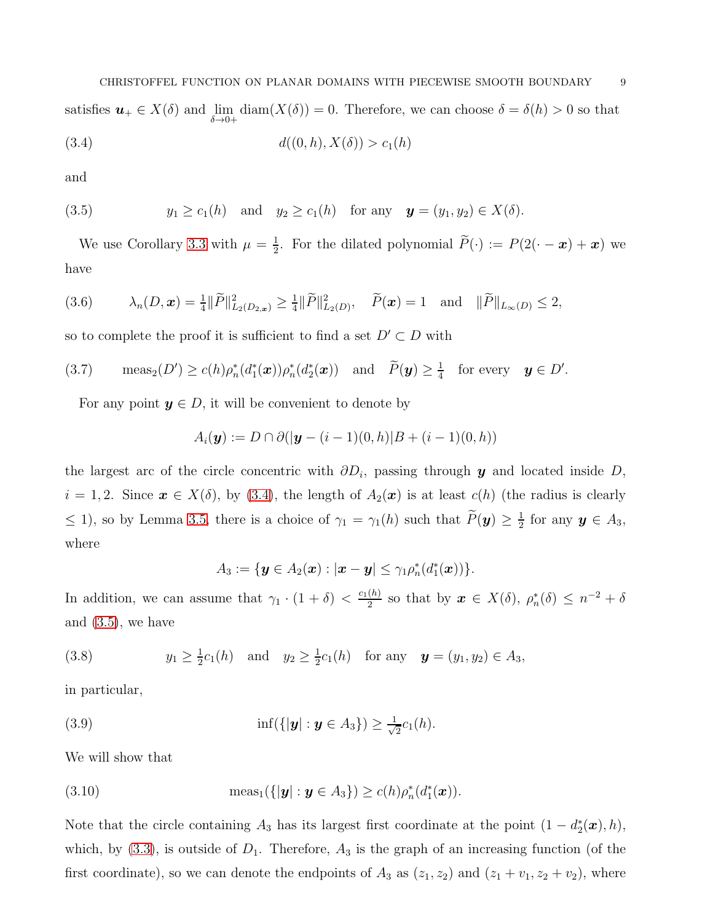<span id="page-8-0"></span>satisfies  $u_+ \in X(\delta)$  and  $\lim_{\delta \to 0+}$  $diam(X(\delta)) = 0$ . Therefore, we can choose  $\delta = \delta(h) > 0$  so that (3.4)  $d((0, h), X(\delta)) > c_1(h)$ 

and

<span id="page-8-1"></span>(3.5) 
$$
y_1 \ge c_1(h)
$$
 and  $y_2 \ge c_1(h)$  for any  $\mathbf{y} = (y_1, y_2) \in X(\delta)$ .

We use Corollary [3.3](#page-5-4) with  $\mu = \frac{1}{2}$  $\frac{1}{2}$ . For the dilated polynomial  $P(\cdot) := P(2(\cdot - \boldsymbol{x}) + \boldsymbol{x})$  we have

$$
(3.6) \qquad \lambda_n(D, \mathbf{x}) = \frac{1}{4} \|\widetilde{P}\|_{L_2(D_{2, \mathbf{x}})}^2 \ge \frac{1}{4} \|\widetilde{P}\|_{L_2(D)}^2, \quad \widetilde{P}(\mathbf{x}) = 1 \quad \text{and} \quad \|\widetilde{P}\|_{L_\infty(D)} \le 2,
$$

so to complete the proof it is sufficient to find a set  $D' \subset D$  with

<span id="page-8-5"></span>(3.7) 
$$
\operatorname{meas}_2(D') \ge c(h)\rho_n^*(d_1^*(\boldsymbol{x}))\rho_n^*(d_2^*(\boldsymbol{x})) \quad \text{and} \quad \widetilde{P}(\boldsymbol{y}) \ge \frac{1}{4} \quad \text{for every} \quad \boldsymbol{y} \in D'.
$$

For any point  $y \in D$ , it will be convenient to denote by

$$
A_i(\mathbf{y}) := D \cap \partial (|\mathbf{y} - (i-1)(0,h)|B + (i-1)(0,h))
$$

the largest arc of the circle concentric with  $\partial D_i$ , passing through y and located inside D,  $i = 1, 2$ . Since  $x \in X(\delta)$ , by [\(3.4\)](#page-8-0), the length of  $A_2(x)$  is at least  $c(h)$  (the radius is clearly  $\leq$  1), so by Lemma [3.5,](#page-6-2) there is a choice of  $\gamma_1 = \gamma_1(h)$  such that  $\tilde{P}(\mathbf{y}) \geq \frac{1}{2}$  $\frac{1}{2}$  for any  $y \in A_3$ , where

<span id="page-8-4"></span><span id="page-8-3"></span>
$$
A_3:=\{\boldsymbol{y}\in A_2(\boldsymbol{x}):|\boldsymbol{x}-\boldsymbol{y}|\leq \gamma_1\rho_n^*(d_1^*(\boldsymbol{x}))\}.
$$

In addition, we can assume that  $\gamma_1 \cdot (1 + \delta) < \frac{c_1(h)}{2}$  $\frac{(h)}{2}$  so that by  $\boldsymbol{x} \in X(\delta)$ ,  $\rho_n^*(\delta) \leq n^{-2} + \delta$ and [\(3.5\)](#page-8-1), we have

(3.8) 
$$
y_1 \ge \frac{1}{2}c_1(h)
$$
 and  $y_2 \ge \frac{1}{2}c_1(h)$  for any  $\mathbf{y} = (y_1, y_2) \in A_3$ ,

in particular,

(3.9) 
$$
\inf(\{|\mathbf{y}| : \mathbf{y} \in A_3\}) \geq \frac{1}{\sqrt{2}}c_1(h).
$$

We will show that

<span id="page-8-2"></span>(3.10) 
$$
\text{meas}_1({\{|\mathbf{y}| : \mathbf{y} \in A_3\}}) \ge c(h)\rho_n^*(d_1^*(\mathbf{x})).
$$

Note that the circle containing  $A_3$  has its largest first coordinate at the point  $(1 - d_2^*(\boldsymbol{x}), h)$ , which, by  $(3.3)$ , is outside of  $D_1$ . Therefore,  $A_3$  is the graph of an increasing function (of the first coordinate), so we can denote the endpoints of  $A_3$  as  $(z_1, z_2)$  and  $(z_1 + v_1, z_2 + v_2)$ , where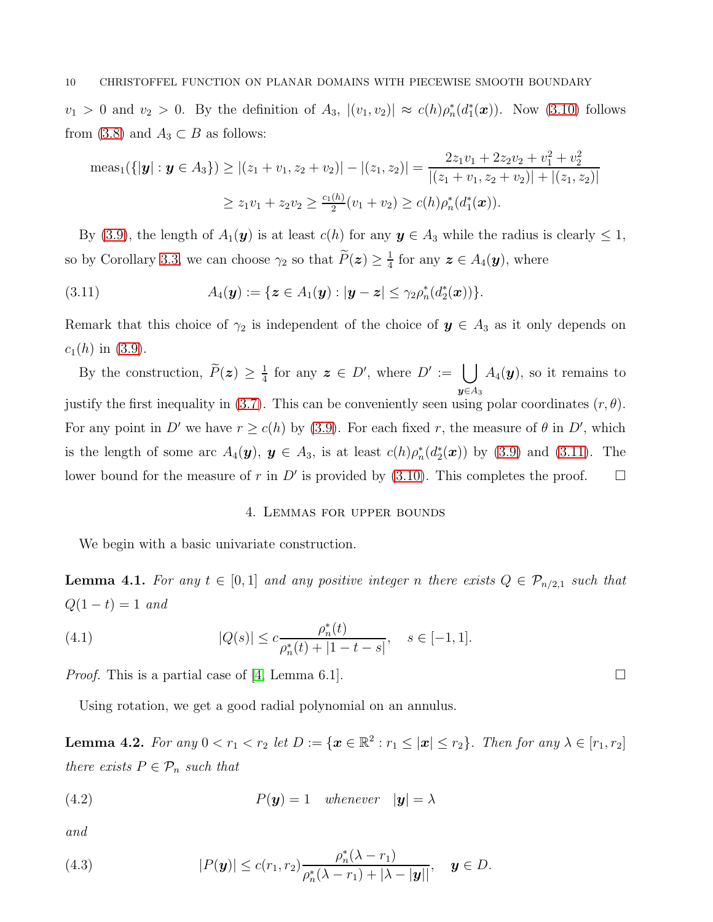$v_1 > 0$  and  $v_2 > 0$ . By the definition of  $A_3$ ,  $|(v_1, v_2)| \approx c(h)\rho_n^*(d_1^*(\boldsymbol{x}))$ . Now [\(3.10\)](#page-8-2) follows from [\(3.8\)](#page-8-3) and  $A_3 \subset B$  as follows:

$$
\operatorname{meas}_1(\{|\mathbf{y}| : \mathbf{y} \in A_3\}) \ge |(z_1 + v_1, z_2 + v_2)| - |(z_1, z_2)| = \frac{2z_1v_1 + 2z_2v_2 + v_1^2 + v_2^2}{|(z_1 + v_1, z_2 + v_2)| + |(z_1, z_2)|} \ge z_1v_1 + z_2v_2 \ge \frac{c_1(h)}{2}(v_1 + v_2) \ge c(h)\rho_n^*(d_1^*(\mathbf{x})).
$$

By [\(3.9\)](#page-8-4), the length of  $A_1(\mathbf{y})$  is at least  $c(h)$  for any  $\mathbf{y} \in A_3$  while the radius is clearly  $\leq 1$ , so by Corollary [3.3,](#page-5-4) we can choose  $\gamma_2$  so that  $\widetilde{P}(z) \geq \frac{1}{4}$  $\frac{1}{4}$  for any  $\boldsymbol{z} \in A_4(\boldsymbol{y}),$  where

<span id="page-9-1"></span>(3.11) 
$$
A_4(\mathbf{y}) := \{ \mathbf{z} \in A_1(\mathbf{y}) : |\mathbf{y} - \mathbf{z}| \leq \gamma_2 \rho_n^*(d_2^*(\mathbf{x})) \}.
$$

Remark that this choice of  $\gamma_2$  is independent of the choice of  $y \in A_3$  as it only depends on  $c_1(h)$  in [\(3.9\)](#page-8-4).

By the construction,  $\tilde{P}(z) \geq \frac{1}{4}$  $\frac{1}{4}$  for any  $\boldsymbol{z} \in D'$ , where  $D' := \bigcup A_4(\boldsymbol{y}),$  so it remains to  $y \in A_3$ justify the first inequality in [\(3.7\)](#page-8-5). This can be conveniently seen using polar coordinates  $(r, \theta)$ . For any point in D' we have  $r \ge c(h)$  by [\(3.9\)](#page-8-4). For each fixed r, the measure of  $\theta$  in D', which is the length of some arc  $A_4(\mathbf{y}), \mathbf{y} \in A_3$ , is at least  $c(h)\rho_n^*(d_2^*(\mathbf{x}))$  by [\(3.9\)](#page-8-4) and [\(3.11\)](#page-9-1). The lower bound for the measure of r in D' is provided by [\(3.10\)](#page-8-2). This completes the proof.  $\square$ 

# <span id="page-9-5"></span>4. Lemmas for upper bounds

<span id="page-9-0"></span>We begin with a basic univariate construction.

<span id="page-9-2"></span>**Lemma 4.1.** For any  $t \in [0,1]$  and any positive integer n there exists  $Q \in \mathcal{P}_{n/2,1}$  such that  $Q(1-t) = 1$  and

(4.1) 
$$
|Q(s)| \leq c \frac{\rho_n^*(t)}{\rho_n^*(t) + |1 - t - s|}, \quad s \in [-1, 1].
$$

*Proof.* This is a partial case of [\[4,](#page-18-4) Lemma 6.1].

Using rotation, we get a good radial polynomial on an annulus.

<span id="page-9-6"></span>**Lemma 4.2.** For any  $0 < r_1 < r_2$  let  $D := \{ \mathbf{x} \in \mathbb{R}^2 : r_1 \leq |\mathbf{x}| \leq r_2 \}$ . Then for any  $\lambda \in [r_1, r_2]$ there exists  $P \in \mathcal{P}_n$  such that

<span id="page-9-3"></span>(4.2) 
$$
P(\mathbf{y}) = 1 \quad whenever \quad |\mathbf{y}| = \lambda
$$

and

<span id="page-9-4"></span>(4.3) 
$$
|P(\mathbf{y})| \leq c(r_1, r_2) \frac{\rho_n^*(\lambda - r_1)}{\rho_n^*(\lambda - r_1) + |\lambda - |\mathbf{y}|}, \quad \mathbf{y} \in D.
$$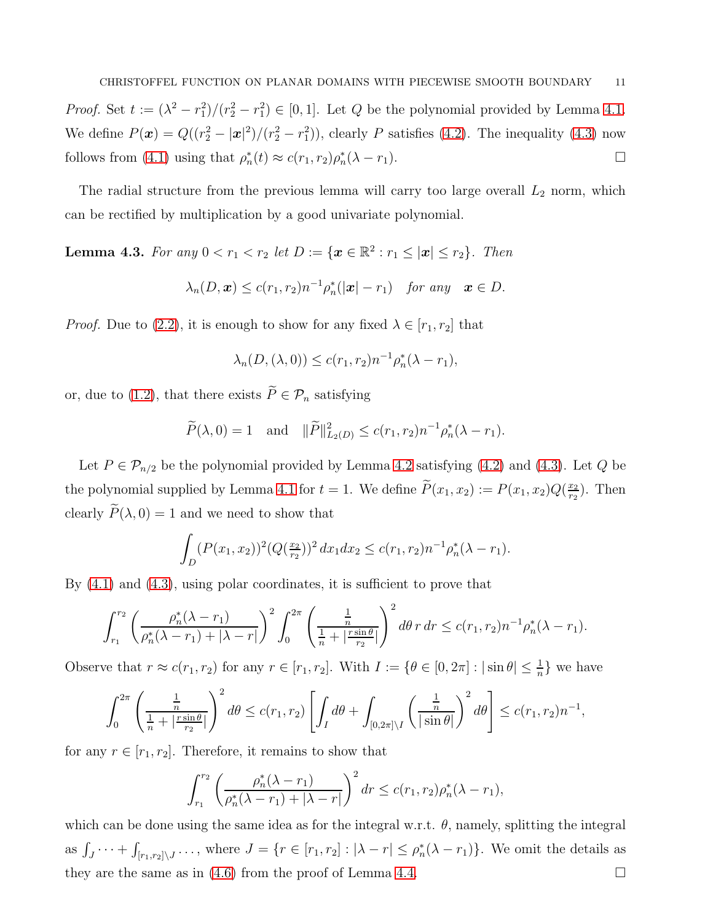*Proof.* Set  $t := (\lambda^2 - r_1^2)/(r_2^2 - r_1^2) \in [0, 1]$ . Let Q be the polynomial provided by Lemma [4.1.](#page-9-2) We define  $P(\mathbf{x}) = Q((r_2^2 - |\mathbf{x}|^2)/(r_2^2 - r_1^2))$ , clearly P satisfies [\(4.2\)](#page-9-3). The inequality [\(4.3\)](#page-9-4) now follows from [\(4.1\)](#page-9-5) using that  $\rho_n^*(t) \approx c(r_1, r_2) \rho_n^*(\lambda - r_1)$ .

The radial structure from the previous lemma will carry too large overall  $L_2$  norm, which can be rectified by multiplication by a good univariate polynomial.

<span id="page-10-0"></span>**Lemma 4.3.** For any  $0 < r_1 < r_2$  let  $D := \{ \mathbf{x} \in \mathbb{R}^2 : r_1 \leq |\mathbf{x}| \leq r_2 \}$ . Then

$$
\lambda_n(D,\boldsymbol{x}) \leq c(r_1,r_2)n^{-1}\rho_n^*(|\boldsymbol{x}|-r_1) \quad \text{for any} \quad \boldsymbol{x} \in D.
$$

*Proof.* Due to [\(2.2\)](#page-3-1), it is enough to show for any fixed  $\lambda \in [r_1, r_2]$  that

$$
\lambda_n(D,(\lambda,0)) \le c(r_1,r_2)n^{-1}\rho_n^*(\lambda - r_1),
$$

or, due to [\(1.2\)](#page-1-0), that there exists  $\widetilde{P} \in \mathcal{P}_n$  satisfying

$$
\widetilde{P}(\lambda,0) = 1
$$
 and  $\|\widetilde{P}\|_{L_2(D)}^2 \le c(r_1,r_2)n^{-1}\rho_n^*(\lambda - r_1).$ 

Let  $P \in \mathcal{P}_{n/2}$  be the polynomial provided by Lemma [4.2](#page-9-6) satisfying [\(4.2\)](#page-9-3) and [\(4.3\)](#page-9-4). Let Q be the polynomial supplied by Lemma [4.1](#page-9-2) for  $t = 1$ . We define  $P(x_1, x_2) := P(x_1, x_2)Q(\frac{x_2}{r_2})$  $\frac{x_2}{r_2}$ ). Then clearly  $\widetilde{P}(\lambda, 0) = 1$  and we need to show that

$$
\int_D (P(x_1, x_2))^2 (Q(\frac{x_2}{r_2}))^2 dx_1 dx_2 \le c(r_1, r_2) n^{-1} \rho_n^*(\lambda - r_1).
$$

By [\(4.1\)](#page-9-5) and [\(4.3\)](#page-9-4), using polar coordinates, it is sufficient to prove that

$$
\int_{r_1}^{r_2} \left( \frac{\rho_n^*(\lambda - r_1)}{\rho_n^*(\lambda - r_1) + |\lambda - r|} \right)^2 \int_0^{2\pi} \left( \frac{\frac{1}{n}}{\frac{1}{n} + \left| \frac{r \sin \theta}{r_2} \right|} \right)^2 d\theta \, r \, dr \leq c(r_1, r_2) n^{-1} \rho_n^*(\lambda - r_1).
$$

Observe that  $r \approx c(r_1, r_2)$  for any  $r \in [r_1, r_2]$ . With  $I := \{ \theta \in [0, 2\pi] : |\sin \theta| \leq \frac{1}{n} \}$  we have

$$
\int_0^{2\pi} \left( \frac{\frac{1}{n}}{\frac{1}{n} + \left| \frac{r \sin \theta}{r_2} \right|} \right)^2 d\theta \le c(r_1, r_2) \left[ \int_I d\theta + \int_{[0, 2\pi] \setminus I} \left( \frac{\frac{1}{n}}{|\sin \theta|} \right)^2 d\theta \right] \le c(r_1, r_2) n^{-1},
$$

for any  $r \in [r_1, r_2]$ . Therefore, it remains to show that

$$
\int_{r_1}^{r_2} \left( \frac{\rho_n^*(\lambda - r_1)}{\rho_n^*(\lambda - r_1) + |\lambda - r|} \right)^2 dr \le c(r_1, r_2) \rho_n^*(\lambda - r_1),
$$

which can be done using the same idea as for the integral w.r.t.  $\theta$ , namely, splitting the integral as  $\int_J \cdots + \int_J$  $[r_1,r_2] \setminus J \cdots$ , where  $J = \{r \in [r_1,r_2] : |\lambda - r| \leq \rho_n^*(\lambda - r_1)\}$ . We omit the details as they are the same as in  $(4.6)$  from the proof of Lemma [4.4.](#page-11-0)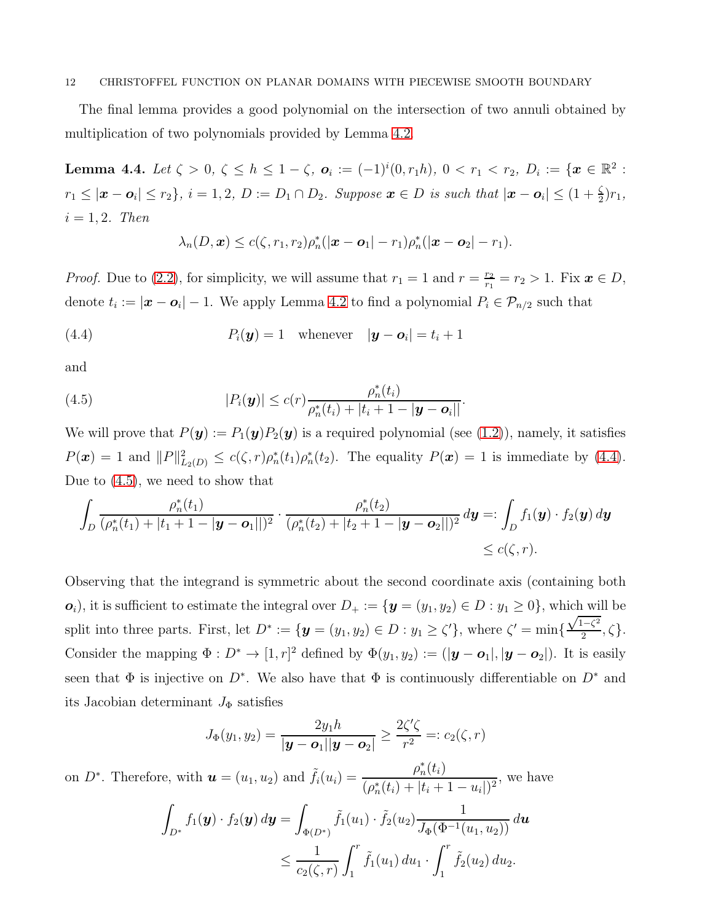The final lemma provides a good polynomial on the intersection of two annuli obtained by multiplication of two polynomials provided by Lemma [4.2.](#page-9-6)

<span id="page-11-0"></span>Lemma 4.4. Let  $\zeta > 0$ ,  $\zeta \le h \le 1 - \zeta$ ,  $o_i := (-1)^i (0, r_1 h)$ ,  $0 < r_1 < r_2$ ,  $D_i := \{x \in \mathbb{R}^2 :$  $r_1 \leq |\boldsymbol{x} - \boldsymbol{o}_i| \leq r_2$ ,  $i = 1, 2, D := D_1 \cap D_2$ . Suppose  $\boldsymbol{x} \in D$  is such that  $|\boldsymbol{x} - \boldsymbol{o}_i| \leq (1 + \frac{\zeta}{2})r_1$ ,  $i = 1, 2$ . Then

<span id="page-11-2"></span><span id="page-11-1"></span>
$$
\lambda_n(D,\boldsymbol{x}) \leq c(\zeta,r_1,r_2)\rho_n^*(|\boldsymbol{x}-\boldsymbol{o}_1|-r_1)\rho_n^*(|\boldsymbol{x}-\boldsymbol{o}_2|-r_1).
$$

*Proof.* Due to [\(2.2\)](#page-3-1), for simplicity, we will assume that  $r_1 = 1$  and  $r = \frac{r_2}{r_1}$  $\frac{r_2}{r_1} = r_2 > 1$ . Fix  $x \in D$ , denote  $t_i := |\boldsymbol{x} - \boldsymbol{o}_i| - 1$ . We apply Lemma [4.2](#page-9-6) to find a polynomial  $P_i \in \mathcal{P}_{n/2}$  such that

(4.4) 
$$
P_i(\mathbf{y}) = 1 \quad \text{whenever} \quad |\mathbf{y} - \mathbf{o}_i| = t_i + 1
$$

and

(4.5) 
$$
|P_i(\boldsymbol{y})| \leq c(r) \frac{\rho_n^*(t_i)}{\rho_n^*(t_i) + |t_i + 1 - |\boldsymbol{y} - \boldsymbol{o}_i|}.
$$

We will prove that  $P(\mathbf{y}) := P_1(\mathbf{y})P_2(\mathbf{y})$  is a required polynomial (see [\(1.2\)](#page-1-0)), namely, it satisfies  $P(\boldsymbol{x}) = 1$  and  $||P||_{L_2(D)}^2 \le c(\zeta, r)\rho_n^*(t_1)\rho_n^*(t_2)$ . The equality  $P(\boldsymbol{x}) = 1$  is immediate by [\(4.4\)](#page-11-1). Due to [\(4.5\)](#page-11-2), we need to show that

$$
\int_{D} \frac{\rho_n^*(t_1)}{(\rho_n^*(t_1) + |t_1 + 1 - |\mathbf{y} - \mathbf{o}_1|)^2} \cdot \frac{\rho_n^*(t_2)}{(\rho_n^*(t_2) + |t_2 + 1 - |\mathbf{y} - \mathbf{o}_2|)^2} d\mathbf{y} =: \int_{D} f_1(\mathbf{y}) \cdot f_2(\mathbf{y}) d\mathbf{y} \leq c(\zeta, r).
$$

Observing that the integrand is symmetric about the second coordinate axis (containing both  $o_i$ , it is sufficient to estimate the integral over  $D_+ := \{ \mathbf{y} = (y_1, y_2) \in D : y_1 \geq 0 \}$ , which will be split into three parts. First, let  $D^* := \{ \mathbf{y} = (y_1, y_2) \in D : y_1 \ge \zeta' \}$ , where  $\zeta' = \min \{ \zeta' = \zeta' \}$  $\sqrt{1-\zeta^2}$  $\frac{1-\varsigma}{2}, \zeta$ . Consider the mapping  $\Phi: D^* \to [1, r]^2$  defined by  $\Phi(y_1, y_2) := (|\mathbf{y} - \mathbf{o}_1|, |\mathbf{y} - \mathbf{o}_2|)$ . It is easily seen that  $\Phi$  is injective on  $D^*$ . We also have that  $\Phi$  is continuously differentiable on  $D^*$  and its Jacobian determinant  $J_{\Phi}$  satisfies

$$
J_{\Phi}(y_1, y_2) = \frac{2y_1h}{|\mathbf{y}-\mathbf{o}_1||\mathbf{y}-\mathbf{o}_2|} \ge \frac{2\zeta'\zeta}{r^2} =: c_2(\zeta, r)
$$

on  $D^*$ . Therefore, with  $\mathbf{u} = (u_1, u_2)$  and  $\tilde{f}_i(u_i) = \frac{\rho_n^*(t_i)}{(\alpha_i^*(t_i) + |t_i|)}$  $\frac{P_n(v_i)}{(\rho_n^*(t_i) + |t_i + 1 - u_i|)^2}$ , we have

$$
\int_{D^*} f_1(\mathbf{y}) \cdot f_2(\mathbf{y}) d\mathbf{y} = \int_{\Phi(D^*)} \tilde{f}_1(u_1) \cdot \tilde{f}_2(u_2) \frac{1}{J_{\Phi}(\Phi^{-1}(u_1, u_2))} d\mathbf{u}
$$
  

$$
\leq \frac{1}{c_2(\zeta, r)} \int_1^r \tilde{f}_1(u_1) du_1 \cdot \int_1^r \tilde{f}_2(u_2) du_2.
$$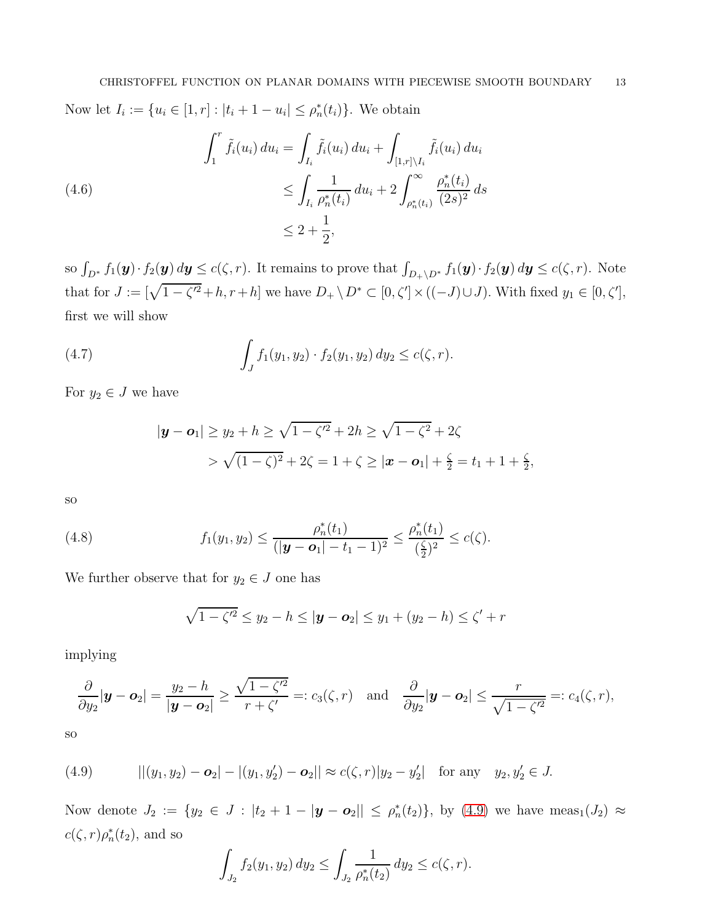Now let  $I_i := \{u_i \in [1, r] : |t_i + 1 - u_i| \le \rho_n^*(t_i)\}\.$  We obtain

<span id="page-12-0"></span>
$$
\int_{1}^{r} \tilde{f}_{i}(u_{i}) du_{i} = \int_{I_{i}} \tilde{f}_{i}(u_{i}) du_{i} + \int_{[1,r] \setminus I_{i}} \tilde{f}_{i}(u_{i}) du_{i}
$$
\n
$$
\leq \int_{I_{i}} \frac{1}{\rho_{n}^{*}(t_{i})} du_{i} + 2 \int_{\rho_{n}^{*}(t_{i})}^{\infty} \frac{\rho_{n}^{*}(t_{i})}{(2s)^{2}} ds
$$
\n
$$
\leq 2 + \frac{1}{2},
$$

so  $\int_{D^*} f_1(\mathbf{y}) \cdot f_2(\mathbf{y}) d\mathbf{y} \le c(\zeta, r)$ . It remains to prove that  $\int_{D_+\setminus D^*} f_1(\mathbf{y}) \cdot f_2(\mathbf{y}) d\mathbf{y} \le c(\zeta, r)$ . Note that for  $J := [\sqrt{1-\zeta'^2} + h, r+h]$  we have  $D_+ \setminus D^* \subset [0, \zeta'] \times ((-J) \cup J)$ . With fixed  $y_1 \in [0, \zeta']$ , first we will show

(4.7) 
$$
\int_{J} f_1(y_1, y_2) \cdot f_2(y_1, y_2) dy_2 \leq c(\zeta, r).
$$

For  $y_2 \in J$  we have

<span id="page-12-3"></span>
$$
|\mathbf{y}-\mathbf{o}_1| \ge y_2 + h \ge \sqrt{1-\zeta'^2} + 2h \ge \sqrt{1-\zeta^2} + 2\zeta
$$
  
>  $\sqrt{(1-\zeta)^2} + 2\zeta = 1 + \zeta \ge |\mathbf{x}-\mathbf{o}_1| + \frac{\zeta}{2} = t_1 + 1 + \frac{\zeta}{2},$ 

so

(4.8) 
$$
f_1(y_1, y_2) \leq \frac{\rho_n^*(t_1)}{(|\mathbf{y}-\mathbf{o}_1| - t_1 - 1)^2} \leq \frac{\rho_n^*(t_1)}{(\frac{\zeta}{2})^2} \leq c(\zeta).
$$

We further observe that for  $y_2 \in J$  one has

<span id="page-12-2"></span>
$$
\sqrt{1-\zeta'^2} \le y_2 - h \le |\mathbf{y}-\mathbf{o}_2| \le y_1 + (y_2 - h) \le \zeta' + r
$$

implying

$$
\frac{\partial}{\partial y_2}|\mathbf{y}-\mathbf{o}_2|=\frac{y_2-h}{|\mathbf{y}-\mathbf{o}_2|}\geq \frac{\sqrt{1-\zeta'^2}}{r+\zeta'}=:c_3(\zeta,r)\quad\text{and}\quad\frac{\partial}{\partial y_2}|\mathbf{y}-\mathbf{o}_2|\leq \frac{r}{\sqrt{1-\zeta'^2}}=:c_4(\zeta,r),
$$

so

<span id="page-12-1"></span>(4.9) 
$$
||(y_1, y_2) - \mathbf{o}_2| - |(y_1, y_2') - \mathbf{o}_2|| \approx c(\zeta, r)|y_2 - y_2'| \text{ for any } y_2, y_2' \in J.
$$

Now denote  $J_2 := \{y_2 \in J : |t_2 + 1 - |\mathbf{y} - \mathbf{o}_2|| \le \rho_n^*(t_2)\}\)$ , by [\(4.9\)](#page-12-1) we have  $\text{meas}_1(J_2) \approx$  $c(\zeta,r)\rho_n^*(t_2)$ , and so

$$
\int_{J_2} f_2(y_1, y_2) dy_2 \le \int_{J_2} \frac{1}{\rho_n^*(t_2)} dy_2 \le c(\zeta, r).
$$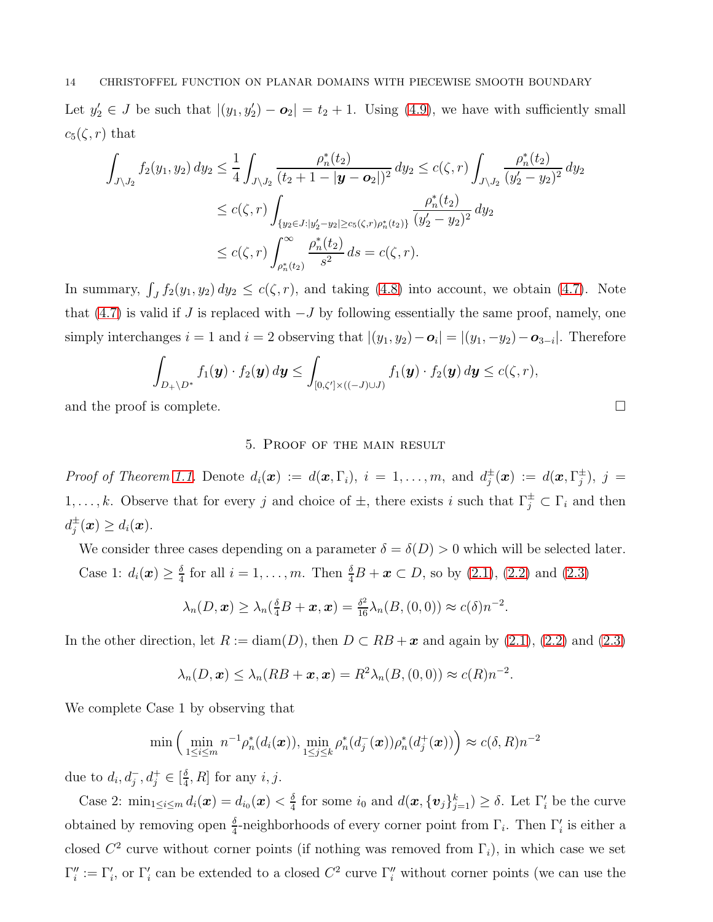Let  $y_2 \in J$  be such that  $|(y_1, y_2') - \mathbf{o}_2| = t_2 + 1$ . Using [\(4.9\)](#page-12-1), we have with sufficiently small  $c_5(\zeta, r)$  that

$$
\int_{J\setminus J_2} f_2(y_1, y_2) dy_2 \leq \frac{1}{4} \int_{J\setminus J_2} \frac{\rho_n^*(t_2)}{(t_2 + 1 - |\mathbf{y} - \mathbf{o}_2|)^2} dy_2 \leq c(\zeta, r) \int_{J\setminus J_2} \frac{\rho_n^*(t_2)}{(y_2' - y_2)^2} dy_2
$$
  

$$
\leq c(\zeta, r) \int_{\{y_2 \in J: |y_2' - y_2| \geq c_5(\zeta, r)\rho_n^*(t_2)\}} \frac{\rho_n^*(t_2)}{(y_2' - y_2)^2} dy_2
$$
  

$$
\leq c(\zeta, r) \int_{\rho_n^*(t_2)}^{\infty} \frac{\rho_n^*(t_2)}{s^2} ds = c(\zeta, r).
$$

In summary,  $\int_J f_2(y_1, y_2) dy_2 \leq c(\zeta, r)$ , and taking [\(4.8\)](#page-12-2) into account, we obtain [\(4.7\)](#page-12-3). Note that [\(4.7\)](#page-12-3) is valid if J is replaced with  $-J$  by following essentially the same proof, namely, one simply interchanges  $i = 1$  and  $i = 2$  observing that  $|(y_1, y_2) - \mathbf{o}_i| = |(y_1, -y_2) - \mathbf{o}_{3-i}|$ . Therefore

$$
\int_{D_+\setminus D^*} f_1({\boldsymbol y}) \cdot f_2({\boldsymbol y})\, d{\boldsymbol y} \le \int_{[0,\zeta']\times ((-J)\cup J)} f_1({\boldsymbol y}) \cdot f_2({\boldsymbol y})\, d{\boldsymbol y} \le c(\zeta,r),
$$

and the proof is complete.  $\Box$ 

# 5. Proof of the main result

*Proof of Theorem [1.1.](#page-2-0)* Denote  $d_i(x) := d(x, \Gamma_i)$ ,  $i = 1, \ldots, m$ , and  $d_j^{\pm}(x) := d(x, \Gamma_j^{\pm})$ ,  $j =$ 1,..., k. Observe that for every j and choice of  $\pm$ , there exists i such that  $\Gamma_j^{\pm} \subset \Gamma_i$  and then  $d_j^{\pm}(\boldsymbol{x}) \geq d_i(\boldsymbol{x}).$ 

We consider three cases depending on a parameter  $\delta = \delta(D) > 0$  which will be selected later. Case 1:  $d_i(\boldsymbol{x}) \geq \frac{\delta}{4}$  $\frac{\delta}{4}$  for all  $i = 1, ..., m$ . Then  $\frac{\delta}{4}B + x \subset D$ , so by [\(2.1\)](#page-3-0), [\(2.2\)](#page-3-1) and [\(2.3\)](#page-4-0)

$$
\lambda_n(D,\boldsymbol{x}) \geq \lambda_n(\tfrac{\delta}{4}B + \boldsymbol{x}, \boldsymbol{x}) = \tfrac{\delta^2}{16}\lambda_n(B, (0,0)) \approx c(\delta)n^{-2}.
$$

In the other direction, let  $R := \text{diam}(D)$ , then  $D \subset RB + \mathbf{x}$  and again by [\(2.1\)](#page-3-0), [\(2.2\)](#page-3-1) and [\(2.3\)](#page-4-0)

$$
\lambda_n(D, \mathbf{x}) \leq \lambda_n(RB + \mathbf{x}, \mathbf{x}) = R^2 \lambda_n(B, (0, 0)) \approx c(R)n^{-2}.
$$

We complete Case 1 by observing that

$$
\min\left(\min_{1\leq i\leq m}n^{-1}\rho_n^*(d_i(\boldsymbol{x})),\min_{1\leq j\leq k}\rho_n^*(d_j^-(\boldsymbol{x}))\rho_n^*(d_j^+(\boldsymbol{x}))\right)\approx c(\delta,R)n^{-2}
$$

due to  $d_i, d_j^-, d_j^+ \in [\frac{\delta}{4}]$  $\frac{\delta}{4}$ , R for any *i*, *j*.

Case 2:  $\min_{1 \le i \le m} d_i(\bm{x}) = d_{i_0}(\bm{x}) < \frac{\delta}{4}$  $\frac{\delta}{4}$  for some  $i_0$  and  $d(\boldsymbol{x}, {\{\boldsymbol{v}_j\}_{j=1}^k}) \ge \delta$ . Let  $\Gamma'_i$  be the curve obtained by removing open  $\frac{\delta}{4}$ -neighborhoods of every corner point from  $\Gamma_i$ . Then  $\Gamma'_i$  is either a closed  $C^2$  curve without corner points (if nothing was removed from  $\Gamma_i$ ), in which case we set  $\Gamma''_i := \Gamma'_i$ , or  $\Gamma'_i$  can be extended to a closed  $C^2$  curve  $\Gamma''_i$  without corner points (we can use the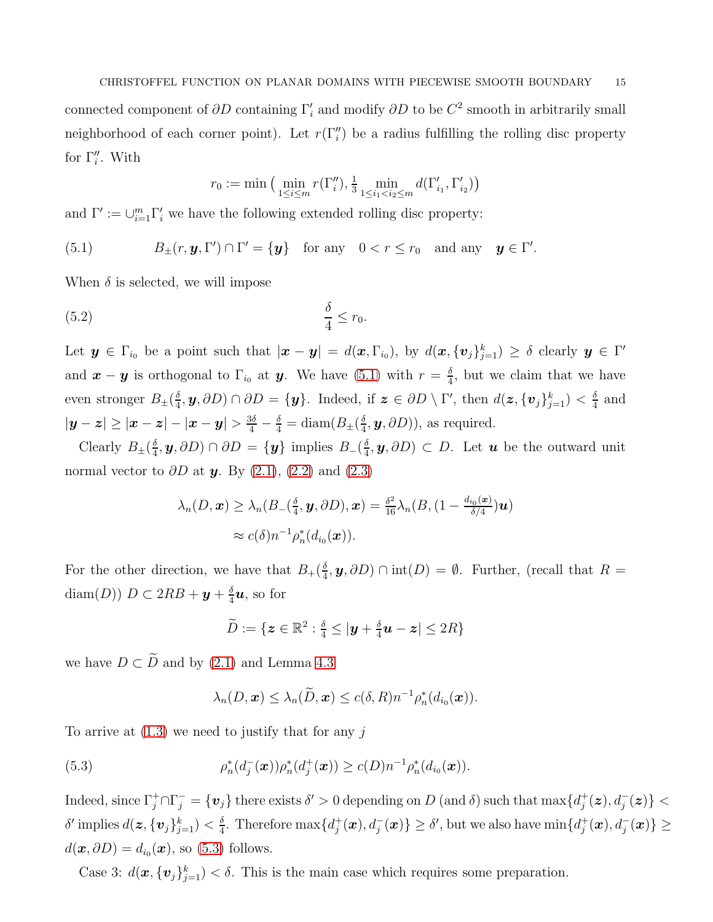connected component of  $\partial D$  containing  $\Gamma'_{i}$  and modify  $\partial D$  to be  $C^{2}$  smooth in arbitrarily small neighborhood of each corner point). Let  $r(\Gamma''_i)$  be a radius fulfilling the rolling disc property for  $\Gamma''_i$ . With

<span id="page-14-2"></span><span id="page-14-0"></span>
$$
r_0 := \min\left(\min_{1 \le i \le m} r(\Gamma_i''), \frac{1}{3} \min_{1 \le i_1 < i_2 \le m} d(\Gamma_{i_1}', \Gamma_{i_2}')
$$

and  $\Gamma' := \bigcup_{i=1}^m \Gamma'_i$  we have the following extended rolling disc property:

(5.1)  $B_{\pm}(r, y, \Gamma') \cap \Gamma' = \{y\}$  for any  $0 < r \le r_0$  and any  $y \in \Gamma'$ .

When  $\delta$  is selected, we will impose

$$
\frac{\delta}{4} \le r_0.
$$

Let  $y \in \Gamma_{i_0}$  be a point such that  $|x-y| = d(x, \Gamma_{i_0})$ , by  $d(x, \{v_j\}_{j=1}^k) \ge \delta$  clearly  $y \in \Gamma'$ and  $\boldsymbol{x} - \boldsymbol{y}$  is orthogonal to  $\Gamma_{i_0}$  at  $\boldsymbol{y}$ . We have [\(5.1\)](#page-14-0) with  $r = \frac{\delta}{4}$  $\frac{\delta}{4}$ , but we claim that we have even stronger  $B_{\pm}(\frac{\delta}{4})$  $(\frac{\delta}{4}, \bm{y}, \partial D) \cap \partial D = \{\bm{y}\}.$  Indeed, if  $\bm{z} \in \partial D \setminus \Gamma'$ , then  $d(\bm{z}, \{\bm{v}_j\}_{j=1}^k) < \frac{\delta}{4}$  $rac{\delta}{4}$  and  $|\bm{y}-\bm{z}|\geq |\bm{x}-\bm{z}|-|\bm{x}-\bm{y}|>\frac{3\delta}{4}-\frac{\delta}{4}=\text{diam}(B_\pm(\frac{\delta}{4}))$  $(\frac{\delta}{4}, \mathbf{y}, \partial D)$ , as required.

Clearly  $B_{\pm}(\frac{\delta}{4})$  $(\frac{\delta}{4}, \bm{y}, \partial D) \cap \partial D = \{\bm{y}\}$  implies  $B_{-}(\frac{\delta}{4}, \bm{y}, \partial D)$  $(\frac{\delta}{4}, \mathbf{y}, \partial D) \subset D$ . Let **u** be the outward unit normal vector to  $\partial D$  at y. By [\(2.1\)](#page-3-0), [\(2.2\)](#page-3-1) and [\(2.3\)](#page-4-0)

$$
\lambda_n(D, \mathbf{x}) \geq \lambda_n(B_-(\frac{\delta}{4}, \mathbf{y}, \partial D), \mathbf{x}) = \frac{\delta^2}{16} \lambda_n(B, (1 - \frac{d_{i_0}(\mathbf{x})}{\delta/4})\mathbf{u})
$$
  

$$
\approx c(\delta)n^{-1} \rho_n^*(d_{i_0}(\mathbf{x})).
$$

For the other direction, we have that  $B_+(\frac{\delta}{4})$  $\frac{\delta}{4}$ ,  $y$ ,  $\partial D$ )  $\cap$  int $(D) = \emptyset$ . Further, (recall that  $R =$ diam $(D)$ )  $D \subset 2RB + y + \frac{\delta}{4}$  $\frac{\delta}{4}u$ , so for

$$
\widetilde{D} := \{\boldsymbol{z} \in \mathbb{R}^2 : \tfrac{\delta}{4} \leq |\boldsymbol{y} + \tfrac{\delta}{4} \boldsymbol{u} - \boldsymbol{z}| \leq 2R\}
$$

we have  $D \subset \widetilde{D}$  and by [\(2.1\)](#page-3-0) and Lemma [4.3](#page-10-0)

<span id="page-14-1"></span>
$$
\lambda_n(D, \boldsymbol{x}) \leq \lambda_n(D, \boldsymbol{x}) \leq c(\delta, R)n^{-1} \rho_n^*(d_{i_0}(\boldsymbol{x})).
$$

To arrive at  $(1.3)$  we need to justify that for any j

(5.3) 
$$
\rho_n^*(d_j^-(\boldsymbol{x}))\rho_n^*(d_j^+(\boldsymbol{x})) \geq c(D)n^{-1}\rho_n^*(d_{i_0}(\boldsymbol{x})).
$$

Indeed, since  $\Gamma_j^+\cap\Gamma_j^-=\{\bm{v}_j\}$  there exists  $\delta'>0$  depending on  $D$  (and  $\delta$ ) such that  $\max\{d_j^+$  $\big\{\boldsymbol{z}^{\boldsymbol{+}}_{j}(\boldsymbol{z}),d_{j}^{-}(\boldsymbol{z})\big\}< \big\}$  $\delta'$  implies  $d(\bm z, \{\bm v_j\}_{j=1}^k) < \frac{\delta}{4}$  $\frac{\delta}{4}$ . Therefore  $\max\{d_j^+\}$  $\{\boldsymbol{f}_j^+(\boldsymbol{x}), d_j^-(\boldsymbol{x})\} \geq \delta', \text{ but we also have } \min\{d_j^+\}$  $\{d_j^+(\bm{x}),d_j^-(\bm{x})\}\geq 0$  $d(\boldsymbol{x}, \partial D) = d_{i_0}(\boldsymbol{x}),$  so [\(5.3\)](#page-14-1) follows.

Case 3:  $d(\boldsymbol{x}, {\{\boldsymbol{v}_j\}_{j=1}^k}) < \delta$ . This is the main case which requires some preparation.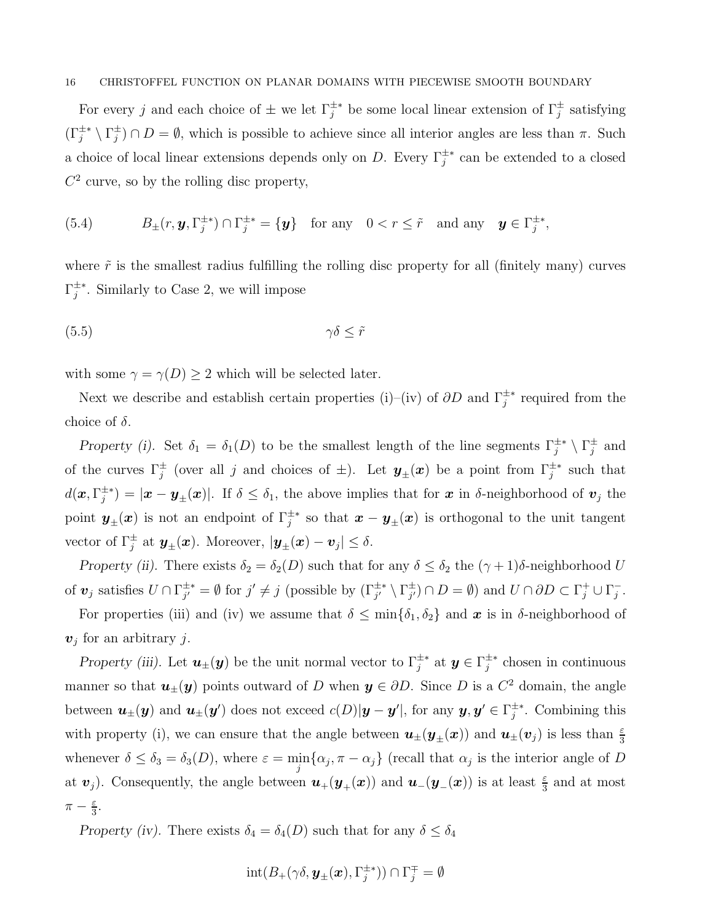For every j and each choice of  $\pm$  we let  $\Gamma_j^{\pm *}$  be some local linear extension of  $\Gamma_j^{\pm}$  satisfying  $(\Gamma_j^{\pm *} \setminus \Gamma_j^{\pm}) \cap D = \emptyset$ , which is possible to achieve since all interior angles are less than  $\pi$ . Such a choice of local linear extensions depends only on D. Every  $\Gamma_j^{\pm*}$  can be extended to a closed  $C<sup>2</sup>$  curve, so by the rolling disc property,

<span id="page-15-1"></span>(5.4) 
$$
B_{\pm}(r, \mathbf{y}, \Gamma_j^{\pm *}) \cap \Gamma_j^{\pm *} = {\mathbf{y} \} \text{ for any } 0 < r \leq \tilde{r} \text{ and any } \mathbf{y} \in \Gamma_j^{\pm *},
$$

where  $\tilde{r}$  is the smallest radius fulfilling the rolling disc property for all (finitely many) curves  $\Gamma_j^{\pm *}$ . Similarly to Case 2, we will impose

<span id="page-15-0"></span>
$$
\gamma \delta \leq \tilde{r}
$$

with some  $\gamma = \gamma(D) \ge 2$  which will be selected later.

Next we describe and establish certain properties (i)–(iv) of  $\partial D$  and  $\Gamma_j^{\pm*}$  required from the choice of  $\delta$ .

Property (i). Set  $\delta_1 = \delta_1(D)$  to be the smallest length of the line segments  $\Gamma_j^{\pm *} \setminus \Gamma_j^{\pm}$  and of the curves  $\Gamma_j^{\pm}$  (over all j and choices of  $\pm$ ). Let  $y_{\pm}(x)$  be a point from  $\Gamma_j^{\pm *}$  such that  $d(\bm{x}, \Gamma_j^{\pm *}) = |\bm{x} - \bm{y}_{\pm}(\bm{x})|$ . If  $\delta \leq \delta_1$ , the above implies that for  $\bm{x}$  in  $\delta$ -neighborhood of  $\bm{v}_j$  the point  $y_{\pm}(x)$  is not an endpoint of  $\Gamma_j^{\pm *}$  so that  $x - y_{\pm}(x)$  is orthogonal to the unit tangent vector of  $\Gamma_j^{\pm}$  at  $\mathbf{y}_{\pm}(\mathbf{x})$ . Moreover,  $|\mathbf{y}_{\pm}(\mathbf{x}) - \mathbf{v}_j| \leq \delta$ .

Property (ii). There exists  $\delta_2 = \delta_2(D)$  such that for any  $\delta \leq \delta_2$  the  $(\gamma + 1)\delta$ -neighborhood U of  $v_j$  satisfies  $U \cap \Gamma_{j'}^{\pm *} = \emptyset$  for  $j' \neq j$  (possible by  $(\Gamma_{j'}^{\pm *} \setminus \Gamma_{j'}^{\pm}) \cap D = \emptyset$ ) and  $U \cap \partial D \subset \Gamma_j^+ \cup \Gamma_j^-$ .

For properties (iii) and (iv) we assume that  $\delta \leq \min{\{\delta_1, \delta_2\}}$  and  $\boldsymbol{x}$  is in  $\delta$ -neighborhood of  $v_j$  for an arbitrary j.

Property (iii). Let  $u_{\pm}(y)$  be the unit normal vector to  $\Gamma_j^{\pm*}$  at  $y \in \Gamma_j^{\pm*}$  chosen in continuous manner so that  $u_{\pm}(y)$  points outward of D when  $y \in \partial D$ . Since D is a  $C^2$  domain, the angle between  $u_{\pm}(y)$  and  $u_{\pm}(y')$  does not exceed  $c(D)|y-y'|$ , for any  $y, y' \in \Gamma_j^{\pm *}$ . Combining this with property (i), we can ensure that the angle between  $u_{\pm}(y_{\pm}(x))$  and  $u_{\pm}(v_j)$  is less than  $\frac{\varepsilon}{3}$ whenever  $\delta \leq \delta_3 = \delta_3(D)$ , where  $\varepsilon = \min_j {\alpha_j, \pi - \alpha_j}$  (recall that  $\alpha_j$  is the interior angle of D at  $v_j$ ). Consequently, the angle between  $u_+(y_+(x))$  and  $u_-(y_-(x))$  is at least  $\frac{\varepsilon}{3}$  and at most  $\pi-\frac{\varepsilon}{3}$  $\frac{\varepsilon}{3}$ .

Property (iv). There exists  $\delta_4 = \delta_4(D)$  such that for any  $\delta \leq \delta_4$ 

$$
\mathrm{int}(B_+(\gamma\delta,\bm{y}_{\pm}(\bm{x}),\Gamma_j^{\pm*}))\cap\Gamma_j^{\mp}=\emptyset
$$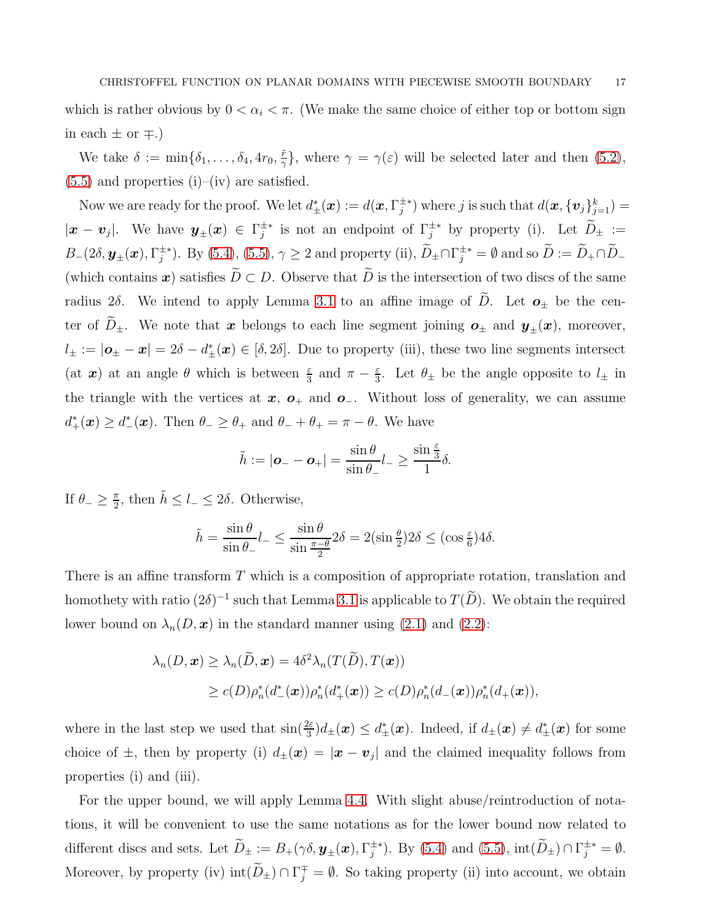which is rather obvious by  $0 < \alpha_i < \pi$ . (We make the same choice of either top or bottom sign in each  $\pm$  or  $\mp$ .)

We take  $\delta := \min\{\delta_1, \ldots, \delta_4, 4r_0, \frac{\tilde{r}}{\gamma}\}$  $(\frac{r}{\gamma})$ , where  $\gamma = \gamma(\varepsilon)$  will be selected later and then [\(5.2\)](#page-14-2),  $(5.5)$  and properties  $(i)$ – $(iv)$  are satisfied.

Now we are ready for the proof. We let  $d^*_{\pm}(\bm{x}) := d(\bm{x}, \Gamma_j^{\pm *})$  where j is such that  $d(\bm{x}, {\{\bm{v}_j\}_{j=1}^k}) =$  $|\bm{x}-\bm{v}_j|$ . We have  $\bm{y}_{\pm}(\bm{x}) \in \Gamma_j^{\pm *}$  is not an endpoint of  $\Gamma_j^{\pm *}$  by property (i). Let  $D_{\pm} :=$  $B_{-}(2\delta, \mathbf{y}_{\pm}(\boldsymbol{x}), \Gamma_{j}^{\pm *})$ . By [\(5.4\)](#page-15-1), [\(5.5\)](#page-15-0),  $\gamma \geq 2$  and property (ii),  $D_{\pm} \cap \Gamma_{j}^{\pm *} = \emptyset$  and so  $D := D_{+} \cap D_{-}$ (which contains x) satisfies  $\widetilde{D} \subset D$ . Observe that  $\widetilde{D}$  is the intersection of two discs of the same radius 2δ. We intend to apply Lemma [3.1](#page-5-2) to an affine image of  $\widetilde{D}$ . Let  $\boldsymbol{o}_{\pm}$  be the center of  $\widetilde{D}_{\pm}$ . We note that x belongs to each line segment joining  $o_{\pm}$  and  $y_{\pm}(x)$ , moreover,  $l_{\pm} := |\boldsymbol{o}_{\pm} - \boldsymbol{x}| = 2\delta - d_{\pm}^{*}(\boldsymbol{x}) \in [\delta, 2\delta].$  Due to property (iii), these two line segments intersect (at  $x$ ) at an angle  $\theta$  which is between  $\frac{\varepsilon}{3}$  and  $\pi - \frac{\varepsilon}{3}$  $\frac{\varepsilon}{3}$ . Let  $\theta_{\pm}$  be the angle opposite to  $l_{\pm}$  in the triangle with the vertices at  $x$ ,  $o_+$  and  $o_-.$  Without loss of generality, we can assume  $d_{+}^{*}(\boldsymbol{x}) \geq d_{-}^{*}(\boldsymbol{x})$ . Then  $\theta_{-} \geq \theta_{+}$  and  $\theta_{-} + \theta_{+} = \pi - \theta$ . We have

$$
\tilde{h} := |\boldsymbol{o}_- - \boldsymbol{o}_+| = \frac{\sin \theta}{\sin \theta_-} l_- \ge \frac{\sin \frac{\varepsilon}{3}}{1} \delta.
$$

If  $\theta_- \geq \frac{\pi}{2}$  $\frac{\pi}{2}$ , then  $\tilde{h} \leq l_- \leq 2\delta$ . Otherwise,

$$
\tilde{h} = \frac{\sin \theta}{\sin \theta_{-}} l_{-} \le \frac{\sin \theta}{\sin \frac{\pi - \theta}{2}} 2\delta = 2(\sin \frac{\theta}{2}) 2\delta \le (\cos \frac{\varepsilon}{6}) 4\delta.
$$

There is an affine transform T which is a composition of appropriate rotation, translation and homothety with ratio  $(2\delta)^{-1}$  such that Lemma [3.1](#page-5-2) is applicable to  $T(D)$ . We obtain the required lower bound on  $\lambda_n(D, x)$  in the standard manner using [\(2.1\)](#page-3-0) and [\(2.2\)](#page-3-1):

$$
\lambda_n(D, \mathbf{x}) \geq \lambda_n(\widetilde{D}, \mathbf{x}) = 4\delta^2 \lambda_n(T(\widetilde{D}), T(\mathbf{x}))
$$
  
 
$$
\geq c(D)\rho_n^*(d^*(\mathbf{x}))\rho_n^*(d^*(\mathbf{x})) \geq c(D)\rho_n^*(d^*(\mathbf{x}))\rho_n^*(d^*(\mathbf{x})),
$$

where in the last step we used that  $\sin(\frac{2\varepsilon}{3})d_{\pm}(\boldsymbol{x}) \leq d_{\pm}^*(\boldsymbol{x})$ . Indeed, if  $d_{\pm}(\boldsymbol{x}) \neq d_{\pm}^*(\boldsymbol{x})$  for some choice of  $\pm$ , then by property (i)  $d_{\pm}(\mathbf{x}) = |\mathbf{x} - \mathbf{v}_j|$  and the claimed inequality follows from properties (i) and (iii).

For the upper bound, we will apply Lemma [4.4.](#page-11-0) With slight abuse/reintroduction of notations, it will be convenient to use the same notations as for the lower bound now related to different discs and sets. Let  $D_{\pm} := B_{+}(\gamma \delta, \mathbf{y}_{\pm}(\mathbf{x}), \Gamma_{j}^{\pm *})$ . By [\(5.4\)](#page-15-1) and [\(5.5\)](#page-15-0),  $\text{int}(D_{\pm}) \cap \Gamma_{j}^{\pm *} = \emptyset$ . Moreover, by property (iv)  $\text{int}(D_{\pm}) \cap \Gamma_j^{\mp} = \emptyset$ . So taking property (ii) into account, we obtain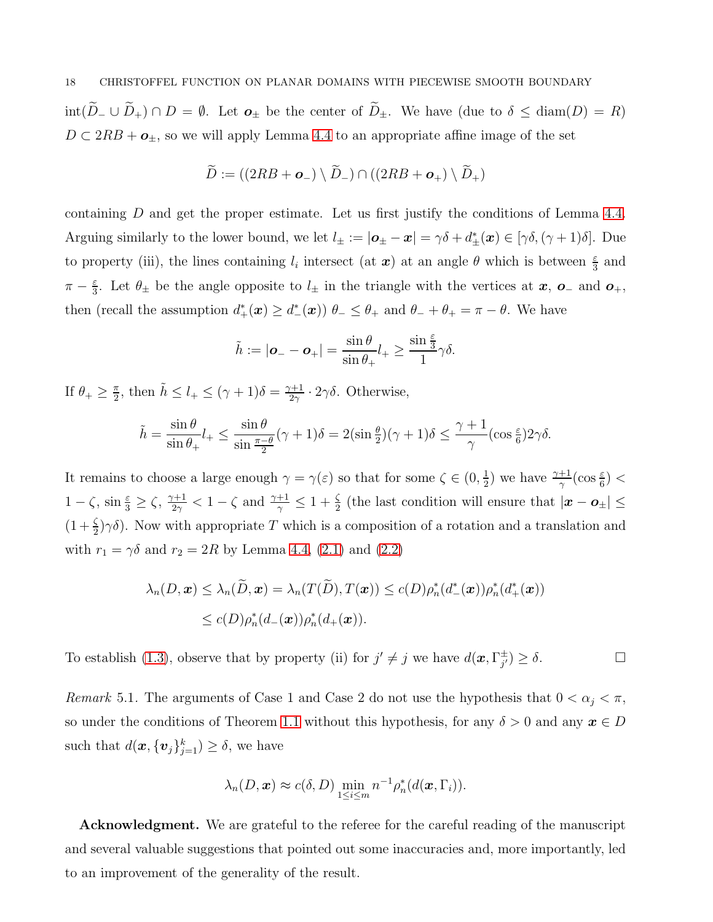int( $\widetilde{D}_-\cup\widetilde{D}_+\cap D=\emptyset$ . Let  $\mathbf{o}_\pm$  be the center of  $\widetilde{D}_\pm$ . We have (due to  $\delta\leq \text{diam}(D)=R$ )  $D \subset 2RB + \mathbf{o}_\pm$ , so we will apply Lemma [4.4](#page-11-0) to an appropriate affine image of the set

$$
\widetilde{D}:=((2RB+{\bf o}_{-})\setminus \widetilde{D}_{-})\cap ((2RB+{\bf o}_{+})\setminus \widetilde{D}_{+})
$$

containing D and get the proper estimate. Let us first justify the conditions of Lemma [4.4.](#page-11-0) Arguing similarly to the lower bound, we let  $l_{\pm} := |\boldsymbol{o}_{\pm} - \boldsymbol{x}| = \gamma \delta + d_{\pm}^*(\boldsymbol{x}) \in [\gamma \delta, (\gamma + 1)\delta].$  Due to property (iii), the lines containing  $l_i$  intersect (at  $x$ ) at an angle  $\theta$  which is between  $\frac{\varepsilon}{3}$  and  $\pi-\frac{\varepsilon}{3}$  $\frac{\varepsilon}{3}$ . Let  $\theta_{\pm}$  be the angle opposite to  $l_{\pm}$  in the triangle with the vertices at  $x$ ,  $o_{-}$  and  $o_{+}$ , then (recall the assumption  $d^*_{+}(\mathbf{x}) \geq d^*_{-}(\mathbf{x})$ )  $\theta_{-} \leq \theta_{+}$  and  $\theta_{-} + \theta_{+} = \pi - \theta$ . We have

$$
\tilde{h} := |\boldsymbol{o}_- - \boldsymbol{o}_+| = \frac{\sin \theta}{\sin \theta_+} l_+ \ge \frac{\sin \frac{\varepsilon}{3}}{1} \gamma \delta.
$$

If  $\theta_+ \geq \frac{\pi}{2}$  $\frac{\pi}{2}$ , then  $\tilde{h} \leq l_+ \leq (\gamma + 1)\delta = \frac{\gamma + 1}{2\gamma}$  $rac{\gamma+1}{2\gamma}\cdot 2\gamma\delta$ . Otherwise,

$$
\tilde{h} = \frac{\sin \theta}{\sin \theta_+} l_+ \le \frac{\sin \theta}{\sin \frac{\pi - \theta}{2}} (\gamma + 1)\delta = 2(\sin \frac{\theta}{2})(\gamma + 1)\delta \le \frac{\gamma + 1}{\gamma} (\cos \frac{\varepsilon}{6}) 2\gamma \delta.
$$

It remains to choose a large enough  $\gamma = \gamma(\varepsilon)$  so that for some  $\zeta \in (0, \frac{1}{2})$  $(\frac{1}{2})$  we have  $\frac{\gamma+1}{\gamma}(\cos\frac{\varepsilon}{6})$  <  $1-\zeta$ ,  $\sin \frac{\varepsilon}{3} \ge \zeta$ ,  $\frac{\gamma+1}{2\gamma}$  $\frac{1}{2\gamma}$   $< 1 - \zeta$  and  $\frac{\gamma+1}{\gamma} \leq 1 + \frac{\zeta}{2}$  (the last condition will ensure that  $|\boldsymbol{x} - \boldsymbol{o}_{\pm}| \leq$  $(1+\frac{\zeta}{2})\gamma\delta$ ). Now with appropriate T which is a composition of a rotation and a translation and with  $r_1 = \gamma \delta$  and  $r_2 = 2R$  by Lemma [4.4,](#page-11-0) [\(2.1\)](#page-3-0) and [\(2.2\)](#page-3-1)

$$
\lambda_n(D, \mathbf{x}) \leq \lambda_n(\tilde{D}, \mathbf{x}) = \lambda_n(T(\tilde{D}), T(\mathbf{x})) \leq c(D) \rho_n^*(d^*(\mathbf{x})) \rho_n^*(d^*(\mathbf{x}))
$$
  

$$
\leq c(D) \rho_n^*(d^*(\mathbf{x})) \rho_n^*(d^*(\mathbf{x})).
$$

To establish [\(1.3\)](#page-2-1), observe that by property (ii) for  $j' \neq j$  we have  $d(\boldsymbol{x}, \Gamma_{j'}^{\pm}) \geq \delta$ .

<span id="page-17-0"></span>Remark 5.1. The arguments of Case 1 and Case 2 do not use the hypothesis that  $0 < \alpha_j < \pi$ , so under the conditions of Theorem [1.1](#page-2-0) without this hypothesis, for any  $\delta > 0$  and any  $x \in D$ such that  $d(\boldsymbol{x}, {\{\boldsymbol{v}_j\}_{j=1}^k}) \geq \delta$ , we have

$$
\lambda_n(D, \boldsymbol{x}) \approx c(\delta, D) \min_{1 \leq i \leq m} n^{-1} \rho_n^*(d(\boldsymbol{x}, \Gamma_i)).
$$

Acknowledgment. We are grateful to the referee for the careful reading of the manuscript and several valuable suggestions that pointed out some inaccuracies and, more importantly, led to an improvement of the generality of the result.